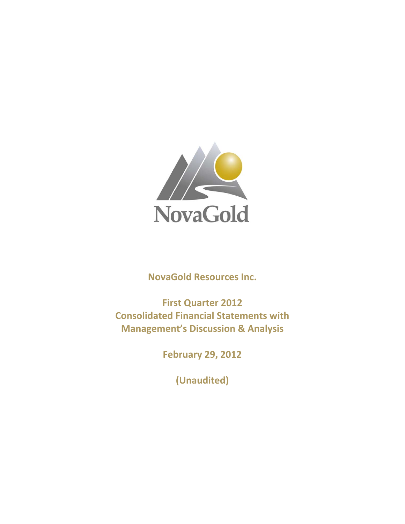

**NovaGold Resources Inc.** 

**First Quarter 2012 Consolidated Financial Statements with Management's Discussion & Analysis** 

**February 29, 2012** 

**(Unaudited)**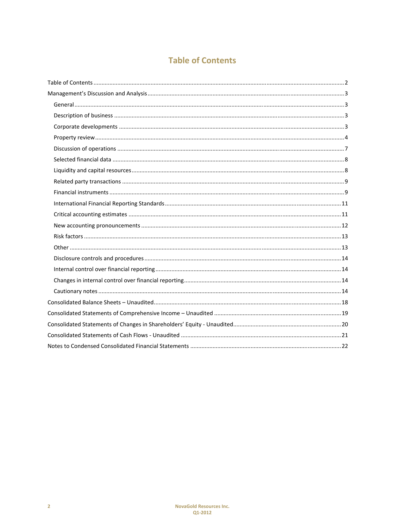# **Table of Contents**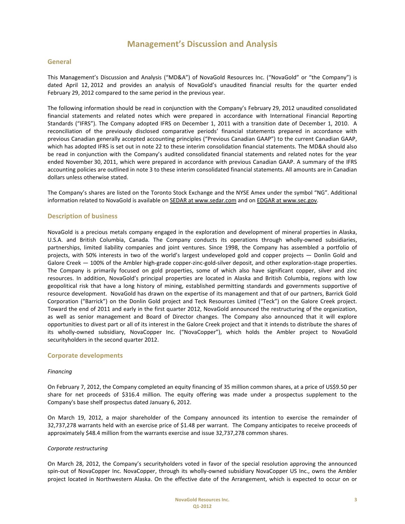## **General**

This Management's Discussion and Analysis ("MD&A") of NovaGold Resources Inc. ("NovaGold" or "the Company") is dated April 12, 2012 and provides an analysis of NovaGold's unaudited financial results for the quarter ended February 29, 2012 compared to the same period in the previous year.

The following information should be read in conjunction with the Company's February 29, 2012 unaudited consolidated financial statements and related notes which were prepared in accordance with International Financial Reporting Standards ("IFRS"). The Company adopted IFRS on December 1, 2011 with a transition date of December 1, 2010. A reconciliation of the previously disclosed comparative periods' financial statements prepared in accordance with previous Canadian generally accepted accounting principles ("Previous Canadian GAAP") to the current Canadian GAAP, which has adopted IFRS is set out in note 22 to these interim consolidation financial statements. The MD&A should also be read in conjunction with the Company's audited consolidated financial statements and related notes for the year ended November 30, 2011, which were prepared in accordance with previous Canadian GAAP. A summary of the IFRS accounting policies are outlined in note 3 to these interim consolidated financial statements. All amounts are in Canadian dollars unless otherwise stated.

The Company's shares are listed on the Toronto Stock Exchange and the NYSE Amex under the symbol "NG". Additional information related to NovaGold is available on SEDAR at www.sedar.com and on EDGAR at www.sec.gov.

### **Description of business**

NovaGold is a precious metals company engaged in the exploration and development of mineral properties in Alaska, U.S.A. and British Columbia, Canada. The Company conducts its operations through wholly-owned subsidiaries, partnerships, limited liability companies and joint ventures. Since 1998, the Company has assembled a portfolio of projects, with 50% interests in two of the world's largest undeveloped gold and copper projects — Donlin Gold and Galore Creek — 100% of the Ambler high-grade copper-zinc-gold-silver deposit, and other exploration-stage properties. The Company is primarily focused on gold properties, some of which also have significant copper, silver and zinc resources. In addition, NovaGold's principal properties are located in Alaska and British Columbia, regions with low geopolitical risk that have a long history of mining, established permitting standards and governments supportive of resource development. NovaGold has drawn on the expertise of its management and that of our partners, Barrick Gold Corporation ("Barrick") on the Donlin Gold project and Teck Resources Limited ("Teck") on the Galore Creek project. Toward the end of 2011 and early in the first quarter 2012, NovaGold announced the restructuring of the organization, as well as senior management and Board of Director changes. The Company also announced that it will explore opportunities to divest part or all of its interest in the Galore Creek project and that it intends to distribute the shares of its wholly-owned subsidiary, NovaCopper Inc. ("NovaCopper"), which holds the Ambler project to NovaGold securityholders in the second quarter 2012.

### **Corporate developments**

#### *Financing*

On February 7, 2012, the Company completed an equity financing of 35 million common shares, at a price of US\$9.50 per share for net proceeds of \$316.4 million. The equity offering was made under a prospectus supplement to the Company's base shelf prospectus dated January 6, 2012.

On March 19, 2012, a major shareholder of the Company announced its intention to exercise the remainder of 32,737,278 warrants held with an exercise price of \$1.48 per warrant. The Company anticipates to receive proceeds of approximately \$48.4 million from the warrants exercise and issue 32,737,278 common shares.

#### *Corporate restructuring*

On March 28, 2012, the Company's securityholders voted in favor of the special resolution approving the announced spin-out of NovaCopper Inc. NovaCopper, through its wholly-owned subsidiary NovaCopper US Inc., owns the Ambler project located in Northwestern Alaska. On the effective date of the Arrangement, which is expected to occur on or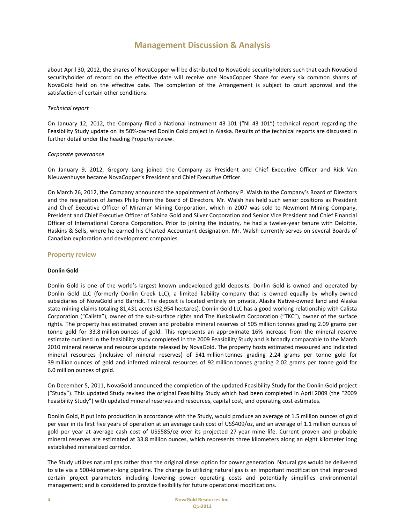about April 30, 2012, the shares of NovaCopper will be distributed to NovaGold securityholders such that each NovaGold securityholder of record on the effective date will receive one NovaCopper Share for every six common shares of NovaGold held on the effective date. The completion of the Arrangement is subject to court approval and the satisfaction of certain other conditions.

#### *Technical report*

On January 12, 2012, the Company filed a National Instrument 43-101 ("NI 43-101") technical report regarding the Feasibility Study update on its 50%-owned Donlin Gold project in Alaska. Results of the technical reports are discussed in further detail under the heading Property review.

#### *Corporate governance*

On January 9, 2012, Gregory Lang joined the Company as President and Chief Executive Officer and Rick Van Nieuwenhuyse became NovaCopper's President and Chief Executive Officer.

On March 26, 2012, the Company announced the appointment of Anthony P. Walsh to the Company's Board of Directors and the resignation of James Philip from the Board of Directors. Mr. Walsh has held such senior positions as President and Chief Executive Officer of Miramar Mining Corporation, which in 2007 was sold to Newmont Mining Company, President and Chief Executive Officer of Sabina Gold and Silver Corporation and Senior Vice President and Chief Financial Officer of International Corona Corporation. Prior to joining the industry, he had a twelve-year tenure with Deloitte, Haskins & Sells, where he earned his Charted Accountant designation. Mr. Walsh currently serves on several Boards of Canadian exploration and development companies.

### **Property review**

#### **Donlin Gold**

Donlin Gold is one of the world's largest known undeveloped gold deposits. Donlin Gold is owned and operated by Donlin Gold LLC (formerly Donlin Creek LLC), a limited liability company that is owned equally by wholly-owned subsidiaries of NovaGold and Barrick. The deposit is located entirely on private, Alaska Native-owned land and Alaska state mining claims totaling 81,431 acres (32,954 hectares). Donlin Gold LLC has a good working relationship with Calista Corporation ("Calista"), owner of the sub-surface rights and The Kuskokwim Corporation ("TKC"), owner of the surface rights. The property has estimated proven and probable mineral reserves of 505 million tonnes grading 2.09 grams per tonne gold for 33.8 million ounces of gold. This represents an approximate 16% increase from the mineral reserve estimate outlined in the feasibility study completed in the 2009 Feasibility Study and is broadly comparable to the March 2010 mineral reserve and resource update released by NovaGold. The property hosts estimated measured and indicated mineral resources (inclusive of mineral reserves) of 541 million tonnes grading 2.24 grams per tonne gold for 39 million ounces of gold and inferred mineral resources of 92 million tonnes grading 2.02 grams per tonne gold for 6.0 million ounces of gold.

On December 5, 2011, NovaGold announced the completion of the updated Feasibility Study for the Donlin Gold project ("Study"). This updated Study revised the original Feasibility Study which had been completed in April 2009 (the "2009 Feasibility Study") with updated mineral reserves and resources, capital cost, and operating cost estimates.

Donlin Gold, if put into production in accordance with the Study, would produce an average of 1.5 million ounces of gold per year in its first five years of operation at an average cash cost of US\$409/oz, and an average of 1.1 million ounces of gold per year at average cash cost of US\$585/oz over its projected 27-year mine life. Current proven and probable mineral reserves are estimated at 33.8 million ounces, which represents three kilometers along an eight kilometer long established mineralized corridor.

The Study utilizes natural gas rather than the original diesel option for power generation. Natural gas would be delivered to site via a 500-kilometer-long pipeline. The change to utilizing natural gas is an important modification that improved certain project parameters including lowering power operating costs and potentially simplifies environmental management; and is considered to provide flexibility for future operational modifications.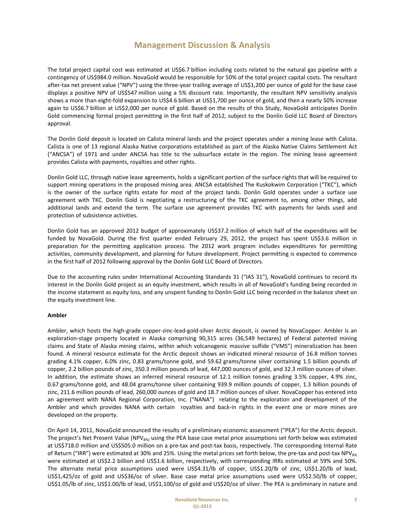The total project capital cost was estimated at US\$6.7 billion including costs related to the natural gas pipeline with a contingency of US\$984.0 million. NovaGold would be responsible for 50% of the total project capital costs. The resultant after-tax net present value ("NPV") using the three-year trailing average of US\$1,200 per ounce of gold for the base case displays a positive NPV of US\$547 million using a 5% discount rate. Importantly, the resultant NPV sensitivity analysis shows a more than eight-fold expansion to US\$4.6 billion at US\$1,700 per ounce of gold, and then a nearly 50% increase again to US\$6.7 billion at US\$2,000 per ounce of gold. Based on the results of this Study, NovaGold anticipates Donlin Gold commencing formal project permitting in the first half of 2012, subject to the Donlin Gold LLC Board of Directors approval.

The Donlin Gold deposit is located on Calista mineral lands and the project operates under a mining lease with Calista. Calista is one of 13 regional Alaska Native corporations established as part of the Alaska Native Claims Settlement Act ("ANCSA") of 1971 and under ANCSA has title to the subsurface estate in the region. The mining lease agreement provides Calista with payments, royalties and other rights.

Donlin Gold LLC, through native lease agreements, holds a significant portion of the surface rights that will be required to support mining operations in the proposed mining area. ANCSA established The Kuskokwim Corporation ("TKC"), which is the owner of the surface rights estate for most of the project lands. Donlin Gold operates under a surface use agreement with TKC. Donlin Gold is negotiating a restructuring of the TKC agreement to, among other things, add additional lands and extend the term. The surface use agreement provides TKC with payments for lands used and protection of subsistence activities.

Donlin Gold has an approved 2012 budget of approximately US\$37.2 million of which half of the expenditures will be funded by NovaGold. During the first quarter ended February 29, 2012, the project has spent US\$3.6 million in preparation for the permitting application process. The 2012 work program includes expenditures for permitting activities, community development, and planning for future development. Project permitting is expected to commence in the first half of 2012 following approval by the Donlin Gold LLC Board of Directors.

Due to the accounting rules under International Accounting Standards 31 ("IAS 31"), NovaGold continues to record its interest in the Donlin Gold project as an equity investment, which results in all of NovaGold's funding being recorded in the income statement as equity loss, and any unspent funding to Donlin Gold LLC being recorded in the balance sheet on the equity investment line.

### **Ambler**

Ambler, which hosts the high-grade copper-zinc-lead-gold-silver Arctic deposit, is owned by NovaCopper. Ambler is an exploration-stage property located in Alaska comprising 90,315 acres (36,549 hectares) of Federal patented mining claims and State of Alaska mining claims, within which volcanogenic massive sulfide ("VMS") mineralization has been found. A mineral resource estimate for the Arctic deposit shows an indicated mineral resource of 16.8 million tonnes grading 4.1% copper, 6.0% zinc, 0.83 grams/tonne gold, and 59.62 grams/tonne silver containing 1.5 billion pounds of copper, 2.2 billion pounds of zinc, 350.3 million pounds of lead, 447,000 ounces of gold, and 32.3 million ounces of silver. In addition, the estimate shows an inferred mineral resource of 12.1 million tonnes grading 3.5% copper, 4.9% zinc, 0.67 grams/tonne gold, and 48.04 grams/tonne silver containing 939.9 million pounds of copper, 1.3 billion pounds of zinc, 211.6 million pounds of lead, 260,000 ounces of gold and 18.7 million ounces of silver. NovaCopper has entered into an agreement with NANA Regional Corporation, Inc. ("NANA") relating to the exploration and development of the Ambler and which provides NANA with certain royalties and back-in rights in the event one or more mines are developed on the property.

On April 14, 2011, NovaGold announced the results of a preliminary economic assessment ("PEA") for the Arctic deposit. The project's Net Present Value (NPV $_{8\%}$ ) using the PEA base case metal price assumptions set forth below was estimated at US\$718.0 million and US\$505.0 million on a pre-tax and post-tax basis, respectively. The corresponding Internal Rate of Return ("IRR") were estimated at 30% and 25%. Using the metal prices set forth below, the pre-tax and post-tax NPV<sub>8%</sub> were estimated at US\$2.2 billion and US\$1.6 billion, respectively, with corresponding IRRs estimated at 59% and 50%. The alternate metal price assumptions used were US\$4.31/lb of copper, US\$1.20/lb of zinc, US\$1.20/lb of lead, US\$1,425/oz of gold and US\$36/oz of silver. Base case metal price assumptions used were US\$2.50/lb of copper, US\$1.05/lb of zinc, US\$1.00/lb of lead, US\$1,100/oz of gold and US\$20/oz of silver. The PEA is preliminary in nature and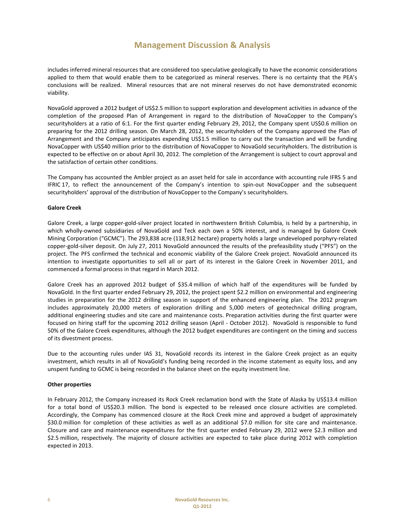includes inferred mineral resources that are considered too speculative geologically to have the economic considerations applied to them that would enable them to be categorized as mineral reserves. There is no certainty that the PEA's conclusions will be realized. Mineral resources that are not mineral reserves do not have demonstrated economic viability.

NovaGold approved a 2012 budget of US\$2.5 million to support exploration and development activities in advance of the completion of the proposed Plan of Arrangement in regard to the distribution of NovaCopper to the Company's securityholders at a ratio of 6:1. For the first quarter ending February 29, 2012, the Company spent US\$0.6 million on preparing for the 2012 drilling season. On March 28, 2012, the securityholders of the Company approved the Plan of Arrangement and the Company anticipates expending US\$1.5 million to carry out the transaction and will be funding NovaCopper with US\$40 million prior to the distribution of NovaCopper to NovaGold securityholders. The distribution is expected to be effective on or about April 30, 2012. The completion of the Arrangement is subject to court approval and the satisfaction of certain other conditions.

The Company has accounted the Ambler project as an asset held for sale in accordance with accounting rule IFRS 5 and IFRIC 17, to reflect the announcement of the Company's intention to spin-out NovaCopper and the subsequent securityholders' approval of the distribution of NovaCopper to the Company's securityholders.

#### **Galore Creek**

Galore Creek, a large copper-gold-silver project located in northwestern British Columbia, is held by a partnership, in which wholly-owned subsidiaries of NovaGold and Teck each own a 50% interest, and is managed by Galore Creek Mining Corporation ("GCMC"). The 293,838 acre (118,912 hectare) property holds a large undeveloped porphyry-related copper-gold-silver deposit. On July 27, 2011 NovaGold announced the results of the prefeasibility study ("PFS") on the project. The PFS confirmed the technical and economic viability of the Galore Creek project. NovaGold announced its intention to investigate opportunities to sell all or part of its interest in the Galore Creek in November 2011, and commenced a formal process in that regard in March 2012.

Galore Creek has an approved 2012 budget of \$35.4 million of which half of the expenditures will be funded by NovaGold. In the first quarter ended February 29, 2012, the project spent \$2.2 million on environmental and engineering studies in preparation for the 2012 drilling season in support of the enhanced engineering plan. The 2012 program includes approximately 20,000 meters of exploration drilling and 5,000 meters of geotechnical drilling program, additional engineering studies and site care and maintenance costs. Preparation activities during the first quarter were focused on hiring staff for the upcoming 2012 drilling season (April - October 2012). NovaGold is responsible to fund 50% of the Galore Creek expenditures, although the 2012 budget expenditures are contingent on the timing and success of its divestment process.

Due to the accounting rules under IAS 31, NovaGold records its interest in the Galore Creek project as an equity investment, which results in all of NovaGold's funding being recorded in the income statement as equity loss, and any unspent funding to GCMC is being recorded in the balance sheet on the equity investment line.

### **Other properties**

In February 2012, the Company increased its Rock Creek reclamation bond with the State of Alaska by US\$13.4 million for a total bond of US\$20.3 million. The bond is expected to be released once closure activities are completed. Accordingly, the Company has commenced closure at the Rock Creek mine and approved a budget of approximately \$30.0 million for completion of these activities as well as an additional \$7.0 million for site care and maintenance. Closure and care and maintenance expenditures for the first quarter ended February 29, 2012 were \$2.3 million and \$2.5 million, respectively. The majority of closure activities are expected to take place during 2012 with completion expected in 2013.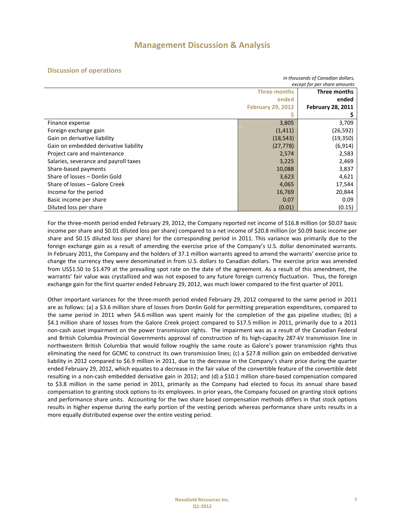## **Discussion of operations**

| in thousands of Canadian dollars,     |                          |                          |  |  |  |
|---------------------------------------|--------------------------|--------------------------|--|--|--|
| except for per share amounts          |                          |                          |  |  |  |
|                                       | <b>Three months</b>      | Three months             |  |  |  |
|                                       | ended                    | ended                    |  |  |  |
|                                       | <b>February 29, 2012</b> | <b>February 28, 2011</b> |  |  |  |
|                                       |                          |                          |  |  |  |
| Finance expense                       | 3,805                    | 3,709                    |  |  |  |
| Foreign exchange gain                 | (1, 411)                 | (26, 592)                |  |  |  |
| Gain on derivative liability          | (18, 543)                | (19, 350)                |  |  |  |
| Gain on embedded derivative liability | (27, 778)                | (6, 914)                 |  |  |  |
| Project care and maintenance          | 2,574                    | 2,583                    |  |  |  |
| Salaries, severance and payroll taxes | 3,225                    | 2,469                    |  |  |  |
| Share-based payments                  | 10,088                   | 3,837                    |  |  |  |
| Share of losses - Donlin Gold         | 3,623                    | 4,621                    |  |  |  |
| Share of losses – Galore Creek        | 4,065                    | 17,544                   |  |  |  |
| Income for the period                 | 16,769                   | 20,844                   |  |  |  |
| Basic income per share                | 0.07                     | 0.09                     |  |  |  |
| Diluted loss per share                | (0.01)                   | (0.15)                   |  |  |  |

For the three-month period ended February 29, 2012, the Company reported net income of \$16.8 million (or \$0.07 basic income per share and \$0.01 diluted loss per share) compared to a net income of \$20.8 million (or \$0.09 basic income per share and \$0.15 diluted loss per share) for the corresponding period in 2011. This variance was primarily due to the foreign exchange gain as a result of amending the exercise price of the Company's U.S. dollar denominated warrants. In February 2011, the Company and the holders of 37.1 million warrants agreed to amend the warrants' exercise price to change the currency they were denominated in from U.S. dollars to Canadian dollars. The exercise price was amended from US\$1.50 to \$1.479 at the prevailing spot rate on the date of the agreement. As a result of this amendment, the warrants' fair value was crystallized and was not exposed to any future foreign currency fluctuation. Thus, the foreign exchange gain for the first quarter ended February 29, 2012, was much lower compared to the first quarter of 2011.

Other important variances for the three-month period ended February 29, 2012 compared to the same period in 2011 are as follows: (a) a \$3.6 million share of losses from Donlin Gold for permitting preparation expenditures, compared to the same period in 2011 when \$4.6 million was spent mainly for the completion of the gas pipeline studies; (b) a \$4.1 million share of losses from the Galore Creek project compared to \$17.5 million in 2011, primarily due to a 2011 non-cash asset impairment on the power transmission rights. The impairment was as a result of the Canadian Federal and British Columbia Provincial Governments approval of construction of its high-capacity 287-kV transmission line in northwestern British Columbia that would follow roughly the same route as Galore's power transmission rights thus eliminating the need for GCMC to construct its own transmission lines; (c) a \$27.8 million gain on embedded derivative liability in 2012 compared to \$6.9 million in 2011, due to the decrease in the Company's share price during the quarter ended February 29, 2012, which equates to a decrease in the fair value of the convertible feature of the convertible debt resulting in a non-cash embedded derivative gain in 2012; and (d) a \$10.1 million share-based compensation compared to \$3.8 million in the same period in 2011, primarily as the Company had elected to focus its annual share based compensation to granting stock options to its employees. In prior years, the Company focused on granting stock options and performance share units. Accounting for the two share based compensation methods differs in that stock options results in higher expense during the early portion of the vesting periods whereas performance share units results in a more equally distributed expense over the entire vesting period.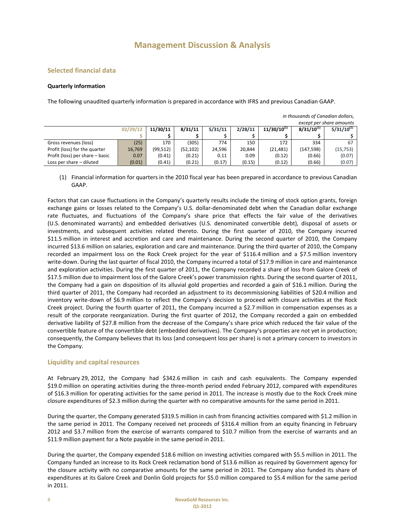## **Selected financial data**

#### **Quarterly information**

The following unaudited quarterly information is prepared in accordance with IFRS and previous Canadian GAAP.

*in thousands of Canadian dollars,* 

|                                 |          |           |           |         |         |                  |                 | except per share amounts |
|---------------------------------|----------|-----------|-----------|---------|---------|------------------|-----------------|--------------------------|
|                                 | 02/29/12 | 11/30/11  | 8/31/11   | 5/31/11 | 2/28/11 | $11/30/10^{(1)}$ | $8/31/10^{(1)}$ | $5/31/10^{(1)}$          |
|                                 |          |           |           |         |         |                  |                 |                          |
| Gross revenues (loss)           | (25)     | 170       | (305)     | 774     | 150     | 172              | 334             |                          |
| Profit (loss) for the quarter   | 16,769   | (99, 512) | (52, 102) | 24.596  | 20,844  | (21, 481)        | (147, 598)      | (15, 753)                |
| Profit (loss) per share - basic | 0.07     | (0.41)    | (0.21)    | 0.11    | 0.09    | (0.12)           | (0.66)          | (0.07)                   |
| Loss per share - diluted        | (0.01)   | (0.41)    | (0.21)    | (0.17)  | (0.15)  | (0.12)           | (0.66)          | (0.07)                   |

(1) Financial information for quarters in the 2010 fiscal year has been prepared in accordance to previous Canadian GAAP.

Factors that can cause fluctuations in the Company's quarterly results include the timing of stock option grants, foreign exchange gains or losses related to the Company's U.S. dollar-denominated debt when the Canadian dollar exchange rate fluctuates, and fluctuations of the Company's share price that effects the fair value of the derivatives (U.S. denominated warrants) and embedded derivatives (U.S. denominated convertible debt), disposal of assets or investments, and subsequent activities related thereto. During the first quarter of 2010, the Company incurred \$11.5 million in interest and accretion and care and maintenance. During the second quarter of 2010, the Company incurred \$13.6 million on salaries, exploration and care and maintenance. During the third quarter of 2010, the Company recorded an impairment loss on the Rock Creek project for the year of \$116.4 million and a \$7.5 million inventory write-down. During the last quarter of fiscal 2010, the Company incurred a total of \$17.9 million in care and maintenance and exploration activities. During the first quarter of 2011, the Company recorded a share of loss from Galore Creek of \$17.5 million due to impairment loss of the Galore Creek's power transmission rights. During the second quarter of 2011, the Company had a gain on disposition of its alluvial gold properties and recorded a gain of \$16.1 million. During the third quarter of 2011, the Company had recorded an adjustment to its decommissioning liabilities of \$20.4 million and inventory write-down of \$6.9 million to reflect the Company's decision to proceed with closure activities at the Rock Creek project. During the fourth quarter of 2011, the Company incurred a \$2.7 million in compensation expenses as a result of the corporate reorganization. During the first quarter of 2012, the Company recorded a gain on embedded derivative liability of \$27.8 million from the decrease of the Company's share price which reduced the fair value of the convertible feature of the convertible debt (embedded derivatives). The Company's properties are not yet in production; consequently, the Company believes that its loss (and consequent loss per share) is not a primary concern to investors in the Company.

### **Liquidity and capital resources**

At February 29, 2012, the Company had \$342.6 million in cash and cash equivalents. The Company expended \$19.0 million on operating activities during the three-month period ended February 2012, compared with expenditures of \$16.3 million for operating activities for the same period in 2011. The increase is mostly due to the Rock Creek mine closure expenditures of \$2.3 million during the quarter with no comparative amounts for the same period in 2011.

During the quarter, the Company generated \$319.5 million in cash from financing activities compared with \$1.2 million in the same period in 2011. The Company received net proceeds of \$316.4 million from an equity financing in February 2012 and \$3.7 million from the exercise of warrants compared to \$10.7 million from the exercise of warrants and an \$11.9 million payment for a Note payable in the same period in 2011.

During the quarter, the Company expended \$18.6 million on investing activities compared with \$5.5 million in 2011. The Company funded an increase to its Rock Creek reclamation bond of \$13.6 million as required by Government agency for the closure activity with no comparative amounts for the same period in 2011. The Company also funded its share of expenditures at its Galore Creek and Donlin Gold projects for \$5.0 million compared to \$5.4 million for the same period in 2011.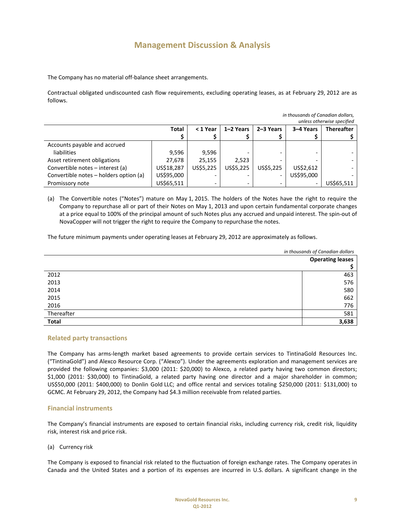The Company has no material off-balance sheet arrangements.

Contractual obligated undiscounted cash flow requirements, excluding operating leases, as at February 29, 2012 are as follows.

|                                        |            |           |           |           |                   | unless otherwise specified |
|----------------------------------------|------------|-----------|-----------|-----------|-------------------|----------------------------|
|                                        | $<$ 1 Year | 1-2 Years | 2-3 Years | 3-4 Years | <b>Thereafter</b> |                            |
|                                        |            |           |           |           |                   |                            |
| Accounts payable and accrued           |            |           |           |           |                   |                            |
| liabilities                            | 9.596      | 9,596     |           |           |                   |                            |
| Asset retirement obligations           | 27,678     | 25,155    | 2,523     |           |                   |                            |
| Convertible notes - interest (a)       | US\$18,287 | US\$5,225 | US\$5,225 | US\$5,225 | US\$2,612         |                            |
| Convertible notes - holders option (a) | US\$95,000 |           |           | -         | US\$95,000        |                            |
| Promissory note                        | US\$65,511 |           | ۰         |           | -                 | US\$65,511                 |

(a) The Convertible notes ("Notes") mature on May 1, 2015. The holders of the Notes have the right to require the Company to repurchase all or part of their Notes on May 1, 2013 and upon certain fundamental corporate changes at a price equal to 100% of the principal amount of such Notes plus any accrued and unpaid interest. The spin-out of NovaCopper will not trigger the right to require the Company to repurchase the notes.

The future minimum payments under operating leases at February 29, 2012 are approximately as follows.

|              | in thousands of Canadian dollars |  |
|--------------|----------------------------------|--|
|              | <b>Operating leases</b>          |  |
|              |                                  |  |
| 2012         | 463                              |  |
| 2013         | 576                              |  |
| 2014         | 580                              |  |
| 2015         | 662                              |  |
| 2016         | 776                              |  |
| Thereafter   | 581                              |  |
| <b>Total</b> | 3,638                            |  |

### **Related party transactions**

The Company has arms-length market based agreements to provide certain services to TintinaGold Resources Inc. ("TintinaGold") and Alexco Resource Corp. ("Alexco"). Under the agreements exploration and management services are provided the following companies: \$3,000 (2011: \$20,000) to Alexco, a related party having two common directors; \$1,000 (2011: \$30,000) to TintinaGold, a related party having one director and a major shareholder in common; US\$50,000 (2011: \$400,000) to Donlin Gold LLC; and office rental and services totaling \$250,000 (2011: \$131,000) to GCMC. At February 29, 2012, the Company had \$4.3 million receivable from related parties.

# **Financial instruments**

The Company's financial instruments are exposed to certain financial risks, including currency risk, credit risk, liquidity risk, interest risk and price risk.

### (a) Currency risk

The Company is exposed to financial risk related to the fluctuation of foreign exchange rates. The Company operates in Canada and the United States and a portion of its expenses are incurred in U.S. dollars. A significant change in the

*in thousands of Canadian dollars,*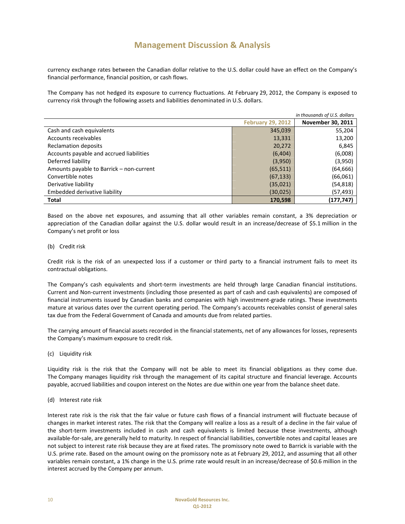currency exchange rates between the Canadian dollar relative to the U.S. dollar could have an effect on the Company's financial performance, financial position, or cash flows.

The Company has not hedged its exposure to currency fluctuations. At February 29, 2012, the Company is exposed to currency risk through the following assets and liabilities denominated in U.S. dollars.

| in thousands of U.S. dollars             |                          |                   |  |  |
|------------------------------------------|--------------------------|-------------------|--|--|
|                                          | <b>February 29, 2012</b> | November 30, 2011 |  |  |
| Cash and cash equivalents                | 345,039                  | 55,204            |  |  |
| Accounts receivables                     | 13,331                   | 13,200            |  |  |
| <b>Reclamation deposits</b>              | 20,272                   | 6,845             |  |  |
| Accounts payable and accrued liabilities | (6,404)                  | (6,008)           |  |  |
| Deferred liability                       | (3,950)                  | (3,950)           |  |  |
| Amounts payable to Barrick - non-current | (65, 511)                | (64, 666)         |  |  |
| Convertible notes                        | (67, 133)                | (66,061)          |  |  |
| Derivative liability                     | (35,021)                 | (54, 818)         |  |  |
| Embedded derivative liability            | (30, 025)                | (57, 493)         |  |  |
| <b>Total</b>                             | 170,598                  | (177, 747)        |  |  |

Based on the above net exposures, and assuming that all other variables remain constant, a 3% depreciation or appreciation of the Canadian dollar against the U.S. dollar would result in an increase/decrease of \$5.1 million in the Company's net profit or loss

#### (b) Credit risk

Credit risk is the risk of an unexpected loss if a customer or third party to a financial instrument fails to meet its contractual obligations.

The Company's cash equivalents and short-term investments are held through large Canadian financial institutions. Current and Non-current investments (including those presented as part of cash and cash equivalents) are composed of financial instruments issued by Canadian banks and companies with high investment-grade ratings. These investments mature at various dates over the current operating period. The Company's accounts receivables consist of general sales tax due from the Federal Government of Canada and amounts due from related parties.

The carrying amount of financial assets recorded in the financial statements, net of any allowances for losses, represents the Company's maximum exposure to credit risk.

(c) Liquidity risk

Liquidity risk is the risk that the Company will not be able to meet its financial obligations as they come due. The Company manages liquidity risk through the management of its capital structure and financial leverage. Accounts payable, accrued liabilities and coupon interest on the Notes are due within one year from the balance sheet date.

(d) Interest rate risk

Interest rate risk is the risk that the fair value or future cash flows of a financial instrument will fluctuate because of changes in market interest rates. The risk that the Company will realize a loss as a result of a decline in the fair value of the short-term investments included in cash and cash equivalents is limited because these investments, although available-for-sale, are generally held to maturity. In respect of financial liabilities, convertible notes and capital leases are not subject to interest rate risk because they are at fixed rates. The promissory note owed to Barrick is variable with the U.S. prime rate. Based on the amount owing on the promissory note as at February 29, 2012, and assuming that all other variables remain constant, a 1% change in the U.S. prime rate would result in an increase/decrease of \$0.6 million in the interest accrued by the Company per annum.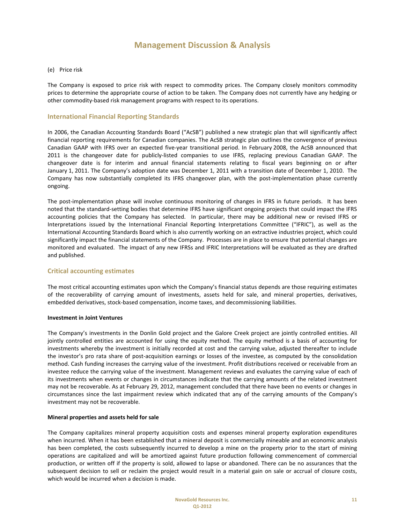#### (e) Price risk

The Company is exposed to price risk with respect to commodity prices. The Company closely monitors commodity prices to determine the appropriate course of action to be taken. The Company does not currently have any hedging or other commodity-based risk management programs with respect to its operations.

## **International Financial Reporting Standards**

In 2006, the Canadian Accounting Standards Board ("AcSB") published a new strategic plan that will significantly affect financial reporting requirements for Canadian companies. The AcSB strategic plan outlines the convergence of previous Canadian GAAP with IFRS over an expected five-year transitional period. In February 2008, the AcSB announced that 2011 is the changeover date for publicly-listed companies to use IFRS, replacing previous Canadian GAAP. The changeover date is for interim and annual financial statements relating to fiscal years beginning on or after January 1, 2011. The Company's adoption date was December 1, 2011 with a transition date of December 1, 2010. The Company has now substantially completed its IFRS changeover plan, with the post-implementation phase currently ongoing.

The post-implementation phase will involve continuous monitoring of changes in IFRS in future periods. It has been noted that the standard-setting bodies that determine IFRS have significant ongoing projects that could impact the IFRS accounting policies that the Company has selected. In particular, there may be additional new or revised IFRS or Interpretations issued by the International Financial Reporting Interpretations Committee ("IFRIC"), as well as the International Accounting Standards Board which is also currently working on an extractive industries project, which could significantly impact the financial statements of the Company. Processes are in place to ensure that potential changes are monitored and evaluated. The impact of any new IFRSs and IFRIC Interpretations will be evaluated as they are drafted and published.

### **Critical accounting estimates**

The most critical accounting estimates upon which the Company's financial status depends are those requiring estimates of the recoverability of carrying amount of investments, assets held for sale, and mineral properties, derivatives, embedded derivatives, stock-based compensation, income taxes, and decommissioning liabilities.

#### **Investment in Joint Ventures**

The Company's investments in the Donlin Gold project and the Galore Creek project are jointly controlled entities. All jointly controlled entities are accounted for using the equity method. The equity method is a basis of accounting for investments whereby the investment is initially recorded at cost and the carrying value, adjusted thereafter to include the investor's pro rata share of post-acquisition earnings or losses of the investee, as computed by the consolidation method. Cash funding increases the carrying value of the investment. Profit distributions received or receivable from an investee reduce the carrying value of the investment. Management reviews and evaluates the carrying value of each of its investments when events or changes in circumstances indicate that the carrying amounts of the related investment may not be recoverable. As at February 29, 2012, management concluded that there have been no events or changes in circumstances since the last impairment review which indicated that any of the carrying amounts of the Company's investment may not be recoverable.

#### **Mineral properties and assets held for sale**

The Company capitalizes mineral property acquisition costs and expenses mineral property exploration expenditures when incurred. When it has been established that a mineral deposit is commercially mineable and an economic analysis has been completed, the costs subsequently incurred to develop a mine on the property prior to the start of mining operations are capitalized and will be amortized against future production following commencement of commercial production, or written off if the property is sold, allowed to lapse or abandoned. There can be no assurances that the subsequent decision to sell or reclaim the project would result in a material gain on sale or accrual of closure costs, which would be incurred when a decision is made.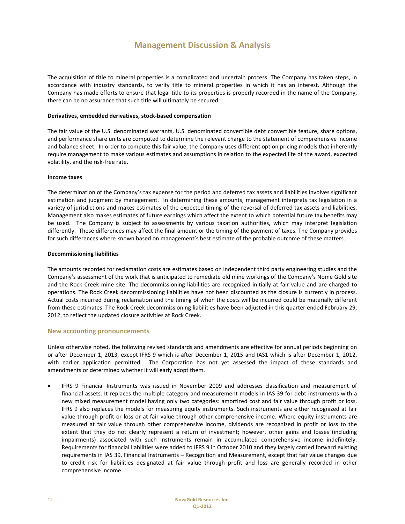The acquisition of title to mineral properties is a complicated and uncertain process. The Company has taken steps, in accordance with industry standards, to verify title to mineral properties in which it has an interest. Although the Company has made efforts to ensure that legal title to its properties is properly recorded in the name of the Company, there can be no assurance that such title will ultimately be secured.

#### **Derivatives, embedded derivatives, stock-based compensation**

The fair value of the U.S. denominated warrants, U.S. denominated convertible debt convertible feature, share options, and performance share units are computed to determine the relevant charge to the statement of comprehensive income and balance sheet. In order to compute this fair value, the Company uses different option pricing models that inherently require management to make various estimates and assumptions in relation to the expected life of the award, expected volatility, and the risk-free rate.

#### **Income taxes**

The determination of the Company's tax expense for the period and deferred tax assets and liabilities involves significant estimation and judgment by management. In determining these amounts, management interprets tax legislation in a variety of jurisdictions and makes estimates of the expected timing of the reversal of deferred tax assets and liabilities. Management also makes estimates of future earnings which affect the extent to which potential future tax benefits may be used. The Company is subject to assessments by various taxation authorities, which may interpret legislation differently. These differences may affect the final amount or the timing of the payment of taxes. The Company provides for such differences where known based on management's best estimate of the probable outcome of these matters.

#### **Decommissioning liabilities**

The amounts recorded for reclamation costs are estimates based on independent third party engineering studies and the Company's assessment of the work that is anticipated to remediate old mine workings of the Company's Nome Gold site and the Rock Creek mine site. The decommissioning liabilities are recognized initially at fair value and are charged to operations. The Rock Creek decommissioning liabilities have not been discounted as the closure is currently in process. Actual costs incurred during reclamation and the timing of when the costs will be incurred could be materially different from these estimates. The Rock Creek decommissioning liabilities have been adjusted in this quarter ended February 29, 2012, to reflect the updated closure activities at Rock Creek.

### **New accounting pronouncements**

Unless otherwise noted, the following revised standards and amendments are effective for annual periods beginning on or after December 1, 2013, except IFRS 9 which is after December 1, 2015 and IAS1 which is after December 1, 2012, with earlier application permitted. The Corporation has not yet assessed the impact of these standards and amendments or determined whether it will early adopt them.

• IFRS 9 Financial Instruments was issued in November 2009 and addresses classification and measurement of financial assets. It replaces the multiple category and measurement models in IAS 39 for debt instruments with a new mixed measurement model having only two categories: amortized cost and fair value through profit or loss. IFRS 9 also replaces the models for measuring equity instruments. Such instruments are either recognized at fair value through profit or loss or at fair value through other comprehensive income. Where equity instruments are measured at fair value through other comprehensive income, dividends are recognized in profit or loss to the extent that they do not clearly represent a return of investment; however, other gains and losses (including impairments) associated with such instruments remain in accumulated comprehensive income indefinitely. Requirements for financial liabilities were added to IFRS 9 in October 2010 and they largely carried forward existing requirements in IAS 39, Financial Instruments – Recognition and Measurement, except that fair value changes due to credit risk for liabilities designated at fair value through profit and loss are generally recorded in other comprehensive income.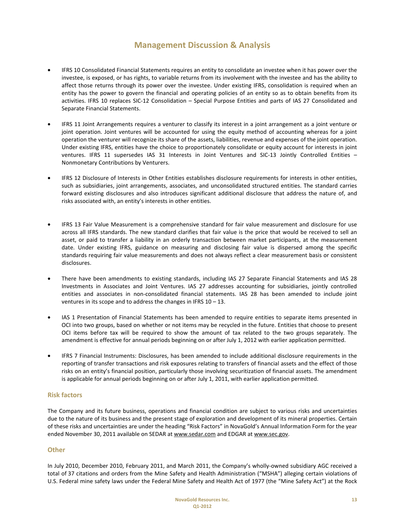- IFRS 10 Consolidated Financial Statements requires an entity to consolidate an investee when it has power over the investee, is exposed, or has rights, to variable returns from its involvement with the investee and has the ability to affect those returns through its power over the investee. Under existing IFRS, consolidation is required when an entity has the power to govern the financial and operating policies of an entity so as to obtain benefits from its activities. IFRS 10 replaces SIC-12 Consolidation – Special Purpose Entities and parts of IAS 27 Consolidated and Separate Financial Statements.
- IFRS 11 Joint Arrangements requires a venturer to classify its interest in a joint arrangement as a joint venture or joint operation. Joint ventures will be accounted for using the equity method of accounting whereas for a joint operation the venturer will recognize its share of the assets, liabilities, revenue and expenses of the joint operation. Under existing IFRS, entities have the choice to proportionately consolidate or equity account for interests in joint ventures. IFRS 11 supersedes IAS 31 Interests in Joint Ventures and SIC-13 Jointly Controlled Entities – Nonmonetary Contributions by Venturers.
- IFRS 12 Disclosure of Interests in Other Entities establishes disclosure requirements for interests in other entities, such as subsidiaries, joint arrangements, associates, and unconsolidated structured entities. The standard carries forward existing disclosures and also introduces significant additional disclosure that address the nature of, and risks associated with, an entity's interests in other entities.
- IFRS 13 Fair Value Measurement is a comprehensive standard for fair value measurement and disclosure for use across all IFRS standards. The new standard clarifies that fair value is the price that would be received to sell an asset, or paid to transfer a liability in an orderly transaction between market participants, at the measurement date. Under existing IFRS, guidance on measuring and disclosing fair value is dispersed among the specific standards requiring fair value measurements and does not always reflect a clear measurement basis or consistent disclosures.
- There have been amendments to existing standards, including IAS 27 Separate Financial Statements and IAS 28 Investments in Associates and Joint Ventures. IAS 27 addresses accounting for subsidiaries, jointly controlled entities and associates in non-consolidated financial statements. IAS 28 has been amended to include joint ventures in its scope and to address the changes in IFRS 10 – 13.
- IAS 1 Presentation of Financial Statements has been amended to require entities to separate items presented in OCI into two groups, based on whether or not items may be recycled in the future. Entities that choose to present OCI items before tax will be required to show the amount of tax related to the two groups separately. The amendment is effective for annual periods beginning on or after July 1, 2012 with earlier application permitted.
- IFRS 7 Financial Instruments: Disclosures, has been amended to include additional disclosure requirements in the reporting of transfer transactions and risk exposures relating to transfers of financial assets and the effect of those risks on an entity's financial position, particularly those involving securitization of financial assets. The amendment is applicable for annual periods beginning on or after July 1, 2011, with earlier application permitted.

## **Risk factors**

The Company and its future business, operations and financial condition are subject to various risks and uncertainties due to the nature of its business and the present stage of exploration and development of its mineral properties. Certain of these risks and uncertainties are under the heading "Risk Factors" in NovaGold's Annual Information Form for the year ended November 30, 2011 available on SEDAR at www.sedar.com and EDGAR at www.sec.gov.

## **Other**

In July 2010, December 2010, February 2011, and March 2011, the Company's wholly-owned subsidiary AGC received a total of 37 citations and orders from the Mine Safety and Health Administration ("MSHA") alleging certain violations of U.S. Federal mine safety laws under the Federal Mine Safety and Health Act of 1977 (the "Mine Safety Act") at the Rock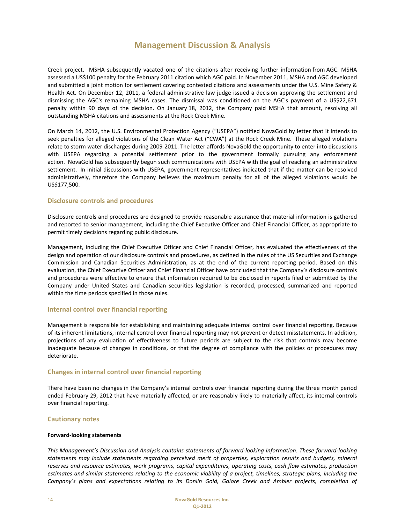Creek project. MSHA subsequently vacated one of the citations after receiving further information from AGC. MSHA assessed a US\$100 penalty for the February 2011 citation which AGC paid. In November 2011, MSHA and AGC developed and submitted a joint motion for settlement covering contested citations and assessments under the U.S. Mine Safety & Health Act. On December 12, 2011, a federal administrative law judge issued a decision approving the settlement and dismissing the AGC's remaining MSHA cases. The dismissal was conditioned on the AGC's payment of a US\$22,671 penalty within 90 days of the decision. On January 18, 2012, the Company paid MSHA that amount, resolving all outstanding MSHA citations and assessments at the Rock Creek Mine.

On March 14, 2012, the U.S. Environmental Protection Agency ("USEPA") notified NovaGold by letter that it intends to seek penalties for alleged violations of the Clean Water Act ("CWA") at the Rock Creek Mine. These alleged violations relate to storm water discharges during 2009-2011. The letter affords NovaGold the opportunity to enter into discussions with USEPA regarding a potential settlement prior to the government formally pursuing any enforcement action. NovaGold has subsequently begun such communications with USEPA with the goal of reaching an administrative settlement. In initial discussions with USEPA, government representatives indicated that if the matter can be resolved administratively, therefore the Company believes the maximum penalty for all of the alleged violations would be US\$177,500.

### **Disclosure controls and procedures**

Disclosure controls and procedures are designed to provide reasonable assurance that material information is gathered and reported to senior management, including the Chief Executive Officer and Chief Financial Officer, as appropriate to permit timely decisions regarding public disclosure.

Management, including the Chief Executive Officer and Chief Financial Officer, has evaluated the effectiveness of the design and operation of our disclosure controls and procedures, as defined in the rules of the US Securities and Exchange Commission and Canadian Securities Administration, as at the end of the current reporting period. Based on this evaluation, the Chief Executive Officer and Chief Financial Officer have concluded that the Company's disclosure controls and procedures were effective to ensure that information required to be disclosed in reports filed or submitted by the Company under United States and Canadian securities legislation is recorded, processed, summarized and reported within the time periods specified in those rules.

### **Internal control over financial reporting**

Management is responsible for establishing and maintaining adequate internal control over financial reporting. Because of its inherent limitations, internal control over financial reporting may not prevent or detect misstatements. In addition, projections of any evaluation of effectiveness to future periods are subject to the risk that controls may become inadequate because of changes in conditions, or that the degree of compliance with the policies or procedures may deteriorate.

### **Changes in internal control over financial reporting**

There have been no changes in the Company's internal controls over financial reporting during the three month period ended February 29, 2012 that have materially affected, or are reasonably likely to materially affect, its internal controls over financial reporting.

### **Cautionary notes**

### **Forward-looking statements**

This Management's Discussion and Analysis contains statements of forward-looking information. These forward-looking *statements may include statements regarding perceived merit of properties, exploration results and budgets, mineral reserves and resource estimates, work programs, capital expenditures, operating costs, cash flow estimates, production estimates and similar statements relating to the economic viability of a project, timelines, strategic plans, including the Company's plans and expectations relating to its Donlin Gold, Galore Creek and Ambler projects, completion of*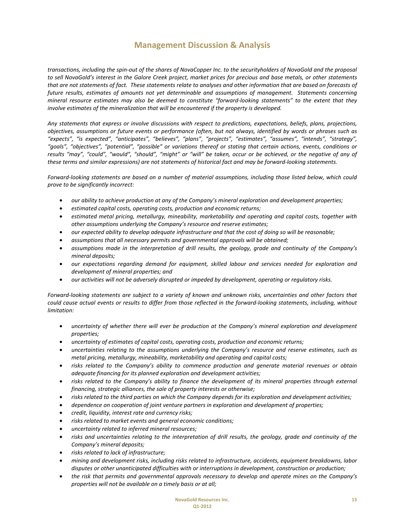*transactions, including the spin-out of the shares of NovaCopper Inc. to the securityholders of NovaGold and the proposal to sell NovaGold's interest in the Galore Creek project, market prices for precious and base metals, or other statements that are not statements of fact. These statements relate to analyses and other information that are based on forecasts of future results, estimates of amounts not yet determinable and assumptions of management. Statements concerning mineral resource estimates may also be deemed to constitute "forward-looking statements" to the extent that they involve estimates of the mineralization that will be encountered if the property is developed.* 

*Any statements that express or involve discussions with respect to predictions, expectations, beliefs, plans, projections, objectives, assumptions or future events or performance (often, but not always, identified by words or phrases such as "expects", "is expected", "anticipates", "believes", "plans", "projects", "estimates", "assumes", "intends", "strategy", "goals", "objectives", "potential", "possible" or variations thereof or stating that certain actions, events, conditions or results "may", "could", "would", "should", "might" or "will" be taken, occur or be achieved, or the negative of any of these terms and similar expressions) are not statements of historical fact and may be forward-looking statements.* 

*Forward-looking statements are based on a number of material assumptions, including those listed below, which could prove to be significantly incorrect:* 

- *our ability to achieve production at any of the Company's mineral exploration and development properties;*
- *estimated capital costs, operating costs, production and economic returns;*
- *estimated metal pricing, metallurgy, mineability, marketability and operating and capital costs, together with other assumptions underlying the Company's resource and reserve estimates;*
- *our expected ability to develop adequate infrastructure and that the cost of doing so will be reasonable;*
- *assumptions that all necessary permits and governmental approvals will be obtained;*
- *assumptions made in the interpretation of drill results, the geology, grade and continuity of the Company's mineral deposits;*
- *our expectations regarding demand for equipment, skilled labour and services needed for exploration and development of mineral properties; and*
- *our activities will not be adversely disrupted or impeded by development, operating or regulatory risks.*

*Forward-looking statements are subject to a variety of known and unknown risks, uncertainties and other factors that could cause actual events or results to differ from those reflected in the forward-looking statements, including, without limitation:* 

- *uncertainty of whether there will ever be production at the Company's mineral exploration and development properties;*
- *uncertainty of estimates of capital costs, operating costs, production and economic returns;*
- *uncertainties relating to the assumptions underlying the Company's resource and reserve estimates, such as metal pricing, metallurgy, mineability, marketability and operating and capital costs;*
- *risks related to the Company's ability to commence production and generate material revenues or obtain adequate financing for its planned exploration and development activities;*
- *risks related to the Company's ability to finance the development of its mineral properties through external financing, strategic alliances, the sale of property interests or otherwise;*
- *risks related to the third parties on which the Company depends for its exploration and development activities;*
- *dependence on cooperation of joint venture partners in exploration and development of properties;*
- *credit, liquidity, interest rate and currency risks;*
- *risks related to market events and general economic conditions;*
- *uncertainty related to inferred mineral resources;*
- *risks and uncertainties relating to the interpretation of drill results, the geology, grade and continuity of the Company's mineral deposits;*
- *risks related to lack of infrastructure;*
- *mining and development risks, including risks related to infrastructure, accidents, equipment breakdowns, labor disputes or other unanticipated difficulties with or interruptions in development, construction or production;*
- *the risk that permits and governmental approvals necessary to develop and operate mines on the Company's properties will not be available on a timely basis or at all;*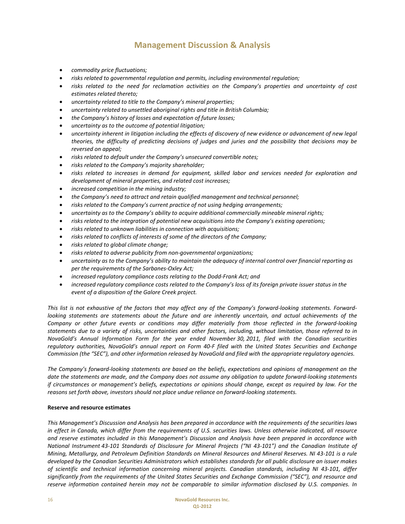- *commodity price fluctuations;*
- *risks related to governmental regulation and permits, including environmental regulation;*
- *risks related to the need for reclamation activities on the Company's properties and uncertainty of cost estimates related thereto;*
- *uncertainty related to title to the Company's mineral properties;*
- *uncertainty related to unsettled aboriginal rights and title in British Columbia;*
- *the Company's history of losses and expectation of future losses;*
- *uncertainty as to the outcome of potential litigation;*
- *uncertainty inherent in litigation including the effects of discovery of new evidence or advancement of new legal theories, the difficulty of predicting decisions of judges and juries and the possibility that decisions may be reversed on appeal;*
- *risks related to default under the Company's unsecured convertible notes;*
- *risks related to the Company's majority shareholder;*
- *risks related to increases in demand for equipment, skilled labor and services needed for exploration and development of mineral properties, and related cost increases;*
- *increased competition in the mining industry;*
- *the Company's need to attract and retain qualified management and technical personnel;*
- *risks related to the Company's current practice of not using hedging arrangements;*
- *uncertainty as to the Company's ability to acquire additional commercially mineable mineral rights;*
- *risks related to the integration of potential new acquisitions into the Company's existing operations;*
- *risks related to unknown liabilities in connection with acquisitions;*
- *risks related to conflicts of interests of some of the directors of the Company;*
- *risks related to global climate change;*
- *risks related to adverse publicity from non-governmental organizations;*
- *uncertainty as to the Company's ability to maintain the adequacy of internal control over financial reporting as per the requirements of the Sarbanes-Oxley Act;*
- *increased regulatory compliance costs relating to the Dodd-Frank Act; and*
- *increased regulatory compliance costs related to the Company's loss of its foreign private issuer status in the event of a disposition of the Galore Creek project.*

*This list is not exhaustive of the factors that may affect any of the Company's forward-looking statements. Forwardlooking statements are statements about the future and are inherently uncertain, and actual achievements of the Company or other future events or conditions may differ materially from those reflected in the forward-looking statements due to a variety of risks, uncertainties and other factors, including, without limitation, those referred to in NovaGold's Annual Information Form for the year ended November 30, 2011, filed with the Canadian securities regulatory authorities, NovaGold's annual report on Form 40-F filed with the United States Securities and Exchange Commission (the "SEC"), and other information released by NovaGold and filed with the appropriate regulatory agencies.* 

*The Company's forward-looking statements are based on the beliefs, expectations and opinions of management on the date the statements are made, and the Company does not assume any obligation to update forward-looking statements if circumstances or management's beliefs, expectations or opinions should change, except as required by law. For the reasons set forth above, investors should not place undue reliance on forward-looking statements.* 

### **Reserve and resource estimates**

*This Management's Discussion and Analysis has been prepared in accordance with the requirements of the securities laws in effect in Canada, which differ from the requirements of U.S. securities laws. Unless otherwise indicated, all resource and reserve estimates included in this Management's Discussion and Analysis have been prepared in accordance with National Instrument 43-101 Standards of Disclosure for Mineral Projects ("NI 43-101") and the Canadian Institute of Mining, Metallurgy, and Petroleum Definition Standards on Mineral Resources and Mineral Reserves. NI 43-101 is a rule developed by the Canadian Securities Administrators which establishes standards for all public disclosure an issuer makes of scientific and technical information concerning mineral projects. Canadian standards, including NI 43-101, differ significantly from the requirements of the United States Securities and Exchange Commission ("SEC"), and resource and reserve information contained herein may not be comparable to similar information disclosed by U.S. companies. In*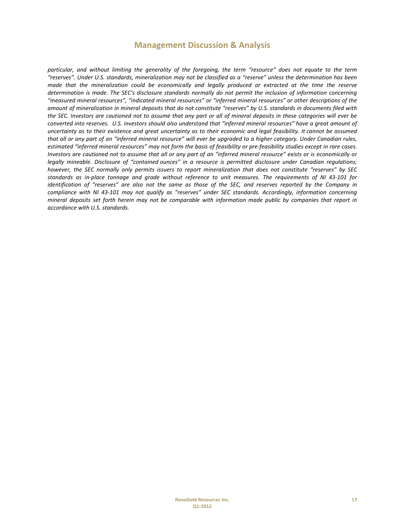*particular, and without limiting the generality of the foregoing, the term "resource" does not equate to the term "reserves". Under U.S. standards, mineralization may not be classified as a "reserve" unless the determination has been made that the mineralization could be economically and legally produced or extracted at the time the reserve determination is made. The SEC's disclosure standards normally do not permit the inclusion of information concerning "measured mineral resources", "indicated mineral resources" or "inferred mineral resources" or other descriptions of the amount of mineralization in mineral deposits that do not constitute "reserves" by U.S. standards in documents filed with the SEC. Investors are cautioned not to assume that any part or all of mineral deposits in these categories will ever be converted into reserves. U.S. investors should also understand that "inferred mineral resources" have a great amount of uncertainty as to their existence and great uncertainty as to their economic and legal feasibility. It cannot be assumed that all or any part of an "inferred mineral resource" will ever be upgraded to a higher category. Under Canadian rules, estimated "inferred mineral resources" may not form the basis of feasibility or pre-feasibility studies except in rare cases. Investors are cautioned not to assume that all or any part of an "inferred mineral resource" exists or is economically or legally mineable. Disclosure of "contained ounces" in a resource is permitted disclosure under Canadian regulations; however, the SEC normally only permits issuers to report mineralization that does not constitute "reserves" by SEC standards as in-place tonnage and grade without reference to unit measures. The requirements of NI 43-101 for identification of "reserves" are also not the same as those of the SEC, and reserves reported by the Company in compliance with NI 43-101 may not qualify as "reserves" under SEC standards. Accordingly, information concerning mineral deposits set forth herein may not be comparable with information made public by companies that report in accordance with U.S. standards.*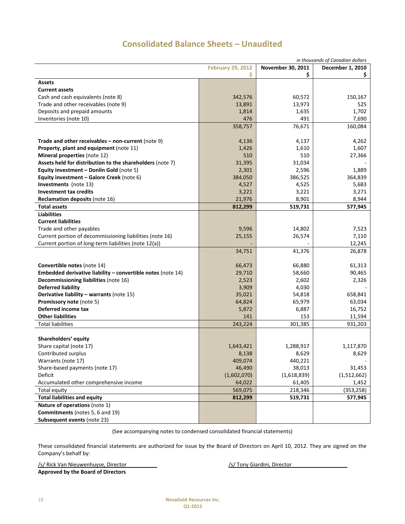| in thousands of Canadian dollars                            |                          |                   |                  |  |
|-------------------------------------------------------------|--------------------------|-------------------|------------------|--|
|                                                             | <b>February 29, 2012</b> | November 30, 2011 | December 1, 2010 |  |
|                                                             | \$.                      | \$                | Ş.               |  |
| <b>Assets</b>                                               |                          |                   |                  |  |
| <b>Current assets</b>                                       |                          |                   |                  |  |
| Cash and cash equivalents (note 8)                          | 342,576                  | 60,572            | 150,167          |  |
| Trade and other receivables (note 9)                        | 13,891                   | 13,973            | 525              |  |
| Deposits and prepaid amounts                                | 1,814                    | 1,635             | 1,702            |  |
| Inventories (note 10)                                       | 476                      | 491               | 7,690            |  |
|                                                             | 358,757                  | 76,671            | 160,084          |  |
| Trade and other receivables - non-current (note 9)          | 4,136                    | 4,137             | 4,262            |  |
| Property, plant and equipment (note 11)                     | 1,426                    | 1,610             | 1,607            |  |
| Mineral properties (note 12)                                | 510                      | 510               | 27,366           |  |
|                                                             |                          |                   |                  |  |
| Assets held for distribution to the shareholders (note 7)   | 31,395                   | 31,034            |                  |  |
| Equity investment - Donlin Gold (note 5)                    | 2,301                    | 2,596             | 1,889            |  |
| Equity investment - Galore Creek (note 6)                   | 384,050                  | 386,525           | 364,839          |  |
| <b>Investments</b> (note 13)                                | 4,527                    | 4,525             | 5,683            |  |
| <b>Investment tax credits</b>                               | 3,221                    | 3,221             | 3,271            |  |
| <b>Reclamation deposits (note 16)</b>                       | 21,976                   | 8,901             | 8,944            |  |
| <b>Total assets</b>                                         | 812,299                  | 519,731           | 577,945          |  |
| <b>Liabilities</b>                                          |                          |                   |                  |  |
| <b>Current liabilities</b>                                  |                          |                   |                  |  |
| Trade and other payables                                    | 9,596                    | 14,802            | 7,523            |  |
| Current portion of decommissioning liabilities (note 16)    | 25,155                   | 26,574            | 7,110            |  |
| Current portion of long-term liabilities (note 12(a))       |                          |                   | 12,245           |  |
|                                                             | 34,751                   | 41,376            | 26,878           |  |
| Convertible notes (note 14)                                 | 66,473                   | 66,880            | 61,313           |  |
| Embedded derivative liability - convertible notes (note 14) | 29,710                   | 58,660            | 90,465           |  |
| Decommissioning liabilities (note 16)                       | 2,523                    | 2,602             | 2,326            |  |
| <b>Deferred liability</b>                                   | 3,909                    | 4,030             |                  |  |
| Derivative liability - warrants (note 15)                   | 35,021                   | 54,818            | 658,841          |  |
| <b>Promissory note (note 5)</b>                             | 64,824                   | 65,979            | 63,034           |  |
| Deferred income tax                                         | 5,872                    | 6,887             | 16,752           |  |
| <b>Other liabilities</b>                                    | 141                      | 153               | 11,594           |  |
| <b>Total liabilities</b>                                    | 243,224                  | 301,385           | 931,203          |  |
|                                                             |                          |                   |                  |  |
| Shareholders' equity                                        |                          |                   |                  |  |
| Share capital (note 17)                                     | 1,643,421                | 1,288,917         | 1,117,870        |  |
| Contributed surplus                                         | 8,138                    | 8,629             | 8,629            |  |
| Warrants (note 17)                                          | 409,074                  | 440,221           |                  |  |
| Share-based payments (note 17)                              | 46,490                   | 38,013            | 31,453           |  |
| Deficit                                                     | (1,602,070)              | (1,618,839)       | (1,512,662)      |  |
| Accumulated other comprehensive income                      | 64,022                   | 61,405            | 1,452            |  |
| Total equity                                                | 569,075                  | 218,346           | (353, 258)       |  |
| <b>Total liabilities and equity</b>                         | 812,299                  | 519,731           | 577,945          |  |
| Nature of operations (note 1)                               |                          |                   |                  |  |
| <b>Commitments</b> (notes 5, 6 and 19)                      |                          |                   |                  |  |
| Subsequent events (note 23)                                 |                          |                   |                  |  |

# **Consolidated Balance Sheets – Unaudited**

(See accompanying notes to condensed consolidated financial statements)

These consolidated financial statements are authorized for issue by the Board of Directors on April 10, 2012. They are signed on the Company's behalf by:

/s/ Rick Van Nieuwenhuyse, Director /s/ Tony Giardini, Director /s/ Tony Giardini, Director **Approved by the Board of Directors**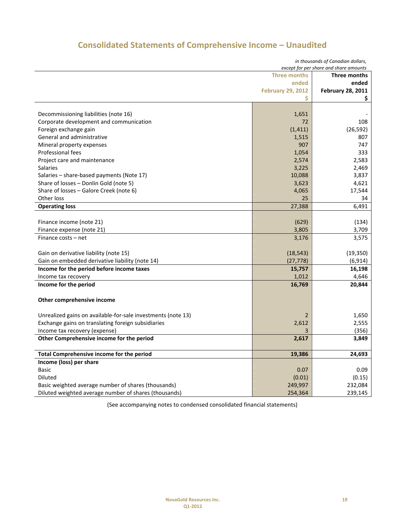| in thousands of Canadian dollars,<br>except for per share and share amounts |                          |                          |  |  |
|-----------------------------------------------------------------------------|--------------------------|--------------------------|--|--|
|                                                                             | Three months             |                          |  |  |
|                                                                             | ended                    | ended                    |  |  |
|                                                                             | <b>February 29, 2012</b> | <b>February 28, 2011</b> |  |  |
|                                                                             | S                        | S                        |  |  |
|                                                                             |                          |                          |  |  |
| Decommissioning liabilities (note 16)                                       | 1,651                    |                          |  |  |
| Corporate development and communication                                     | 72                       | 108                      |  |  |
| Foreign exchange gain                                                       | (1, 411)                 | (26, 592)                |  |  |
| General and administrative                                                  | 1,515                    | 807                      |  |  |
| Mineral property expenses                                                   | 907                      | 747                      |  |  |
| Professional fees                                                           | 1,054                    | 333                      |  |  |
| Project care and maintenance                                                | 2,574                    | 2,583                    |  |  |
| <b>Salaries</b>                                                             | 3,225                    | 2,469                    |  |  |
| Salaries - share-based payments (Note 17)                                   | 10,088                   | 3,837                    |  |  |
| Share of losses – Donlin Gold (note 5)                                      | 3,623                    | 4,621                    |  |  |
| Share of losses – Galore Creek (note 6)                                     | 4,065                    | 17,544                   |  |  |
| Other loss                                                                  | 25                       | 34                       |  |  |
| <b>Operating loss</b>                                                       | 27,388                   | 6,491                    |  |  |
|                                                                             |                          |                          |  |  |
| Finance income (note 21)                                                    | (629)                    | (134)                    |  |  |
| Finance expense (note 21)                                                   | 3,805                    | 3,709                    |  |  |
| Finance costs - net                                                         | 3,176                    | 3,575                    |  |  |
|                                                                             |                          |                          |  |  |
| Gain on derivative liability (note 15)                                      | (18, 543)                | (19, 350)                |  |  |
| Gain on embedded derivative liability (note 14)                             | (27, 778)                | (6, 914)                 |  |  |
| Income for the period before income taxes                                   | 15,757                   | 16,198                   |  |  |
| Income tax recovery                                                         | 1,012                    | 4,646                    |  |  |
| Income for the period                                                       | 16,769                   | 20,844                   |  |  |
|                                                                             |                          |                          |  |  |
| Other comprehensive income                                                  |                          |                          |  |  |
|                                                                             |                          |                          |  |  |
| Unrealized gains on available-for-sale investments (note 13)                | $\overline{2}$           | 1,650                    |  |  |
| Exchange gains on translating foreign subsidiaries                          | 2,612                    | 2,555                    |  |  |
| Income tax recovery (expense)                                               | 3                        | (356)                    |  |  |
| Other Comprehensive income for the period                                   | 2,617                    | 3,849                    |  |  |
|                                                                             |                          |                          |  |  |
| <b>Total Comprehensive income for the period</b>                            | 19,386                   | 24,693                   |  |  |
| Income (loss) per share                                                     |                          |                          |  |  |
| <b>Basic</b>                                                                | 0.07                     | 0.09                     |  |  |
| <b>Diluted</b>                                                              | (0.01)                   | (0.15)                   |  |  |
| Basic weighted average number of shares (thousands)                         | 249,997                  | 232,084                  |  |  |
| Diluted weighted average number of shares (thousands)                       | 254,364                  | 239,145                  |  |  |

(See accompanying notes to condensed consolidated financial statements)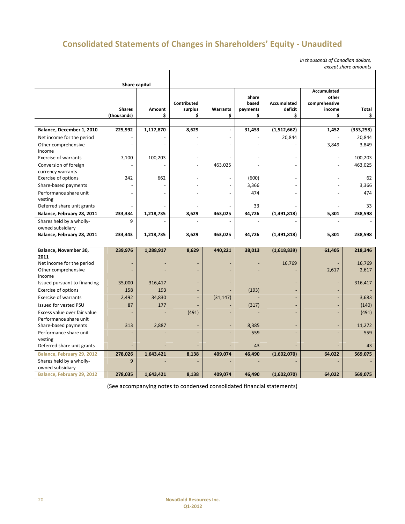# **Consolidated Statements of Changes in Shareholders' Equity - Unaudited**

*in thousands of Canadian dollars, except share amounts*

|                              |               |           |             |           |                          |                    |                    | caccpt shure uniounts |
|------------------------------|---------------|-----------|-------------|-----------|--------------------------|--------------------|--------------------|-----------------------|
|                              |               |           |             |           |                          |                    |                    |                       |
|                              | Share capital |           |             |           |                          |                    |                    |                       |
|                              |               |           |             |           |                          |                    | <b>Accumulated</b> |                       |
|                              |               |           |             |           | <b>Share</b>             |                    | other              |                       |
|                              |               |           | Contributed |           | based                    | <b>Accumulated</b> | comprehensive      |                       |
|                              | <b>Shares</b> | Amount    | surplus     | Warrants  | payments                 | deficit            | income             | Total                 |
|                              | (thousands)   | \$        | \$          | \$        | \$                       | \$                 | \$                 | \$                    |
|                              |               |           |             |           |                          |                    |                    |                       |
| Balance, December 1, 2010    | 225,992       | 1,117,870 | 8,629       |           | 31,453                   | (1,512,662)        | 1,452              | (353, 258)            |
| Net income for the period    |               |           |             |           |                          | 20,844             |                    | 20,844                |
| Other comprehensive          |               |           |             |           | $\overline{\phantom{a}}$ |                    | 3,849              | 3,849                 |
| income                       |               |           |             |           |                          |                    |                    |                       |
| <b>Exercise of warrants</b>  | 7,100         | 100,203   |             |           |                          |                    |                    | 100,203               |
| Conversion of foreign        |               |           |             | 463,025   |                          |                    |                    | 463,025               |
| currency warrants            |               |           |             |           |                          |                    |                    |                       |
| Exercise of options          | 242           | 662       |             |           | (600)                    |                    |                    | 62                    |
| Share-based payments         |               |           |             |           | 3,366                    |                    |                    | 3,366                 |
| Performance share unit       |               |           |             |           | 474                      |                    |                    | 474                   |
| vesting                      |               |           |             |           |                          |                    |                    |                       |
| Deferred share unit grants   |               |           |             |           | 33                       |                    |                    | 33                    |
| Balance, February 28, 2011   | 233,334       | 1,218,735 | 8,629       | 463,025   | 34,726                   | (1,491,818)        | 5,301              | 238,598               |
| Shares held by a wholly-     | $\mathsf{q}$  |           |             |           |                          |                    |                    |                       |
| owned subsidiary             |               |           |             |           |                          |                    |                    |                       |
| Balance, February 28, 2011   | 233,343       | 1,218,735 | 8,629       | 463,025   | 34,726                   | (1,491,818)        | 5,301              | 238,598               |
|                              |               |           |             |           |                          |                    |                    |                       |
| Balance, November 30,        | 239,976       | 1,288,917 | 8,629       | 440,221   | 38,013                   | (1,618,839)        | 61,405             | 218,346               |
| 2011                         |               |           |             |           |                          |                    |                    |                       |
| Net income for the period    |               |           |             |           |                          | 16,769             |                    | 16,769                |
| Other comprehensive          |               |           |             |           |                          |                    | 2,617              | 2,617                 |
| income                       |               |           |             |           |                          |                    |                    |                       |
| Issued pursuant to financing | 35,000        | 316,417   |             |           |                          |                    |                    | 316,417               |
| Exercise of options          | 158           | 193       |             |           | (193)                    |                    |                    |                       |
| <b>Exercise of warrants</b>  | 2,492         | 34,830    |             | (31, 147) |                          |                    |                    | 3,683                 |
| <b>Issued for vested PSU</b> | 87            | 177       |             |           | (317)                    |                    |                    | (140)                 |
| Excess value over fair value |               |           | (491)       |           |                          |                    |                    | (491)                 |
| Performance share unit       |               |           |             |           |                          |                    |                    |                       |
| Share-based payments         | 313           | 2,887     |             |           | 8,385                    |                    |                    | 11,272                |
| Performance share unit       |               |           |             |           | 559                      |                    |                    | 559                   |
| vesting                      |               |           |             |           |                          |                    |                    |                       |
| Deferred share unit grants   |               |           |             |           | 43                       |                    |                    | 43                    |
| Balance, February 29, 2012   | 278,026       | 1,643,421 | 8,138       | 409,074   | 46,490                   | (1,602,070)        | 64,022             | 569,075               |
| Shares held by a wholly-     | 9             |           |             |           |                          |                    |                    |                       |
| owned subsidiary             |               |           |             |           |                          |                    |                    |                       |
| Balance, February 29, 2012   | 278,035       | 1,643,421 | 8,138       | 409,074   | 46,490                   | (1,602,070)        | 64,022             | 569,075               |

(See accompanying notes to condensed consolidated financial statements)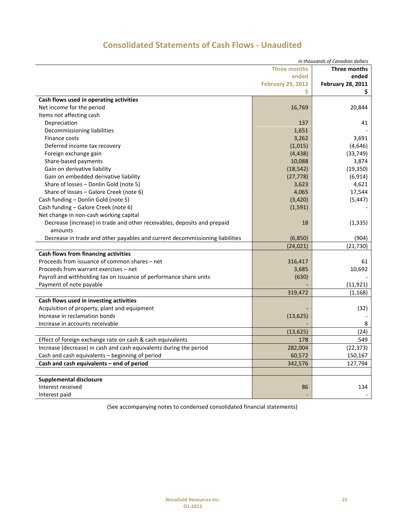| in thousands of Canadian dollars                                             |                          |                          |  |  |
|------------------------------------------------------------------------------|--------------------------|--------------------------|--|--|
|                                                                              | <b>Three months</b>      | Three months             |  |  |
|                                                                              | ended                    | ended                    |  |  |
|                                                                              | <b>February 29, 2012</b> | <b>February 28, 2011</b> |  |  |
|                                                                              | \$                       | \$.                      |  |  |
| Cash flows used in operating activities                                      |                          |                          |  |  |
| Net income for the period                                                    | 16,769                   | 20,844                   |  |  |
| Items not affecting cash                                                     |                          |                          |  |  |
| Depreciation                                                                 | 137                      | 41                       |  |  |
| Decommissioning liabilities                                                  | 1,651                    |                          |  |  |
| Finance costs                                                                | 3,262                    | 3,691                    |  |  |
| Deferred income tax recovery                                                 | (1,015)                  | (4,646)                  |  |  |
| Foreign exchange gain                                                        | (4, 438)                 | (33, 749)                |  |  |
| Share-based payments                                                         | 10,088                   | 3,874                    |  |  |
| Gain on derivative liability                                                 | (18, 542)                | (19, 350)                |  |  |
| Gain on embedded derivative liability                                        | (27, 778)                | (6, 914)                 |  |  |
| Share of losses - Donlin Gold (note 5)                                       | 3,623                    | 4,621                    |  |  |
| Share of losses - Galore Creek (note 6)                                      | 4,065                    | 17,544                   |  |  |
| Cash funding – Donlin Gold (note 5)                                          | (3,420)                  | (5, 447)                 |  |  |
| Cash funding - Galore Creek (note 6)                                         | (1, 591)                 |                          |  |  |
| Net change in non-cash working capital                                       |                          |                          |  |  |
| Decrease (increase) in trade and other receivables, deposits and prepaid     | 18                       | (1, 335)                 |  |  |
| amounts                                                                      |                          |                          |  |  |
| Decrease in trade and other payables and current decommissioning liabilities | (6,850)                  | (904)                    |  |  |
|                                                                              | (24, 021)                | (21, 730)                |  |  |
| Cash flows from financing activities                                         |                          |                          |  |  |
| Proceeds from issuance of common shares - net                                | 316,417                  | 61                       |  |  |
| Proceeds from warrant exercises - net                                        | 3,685                    | 10,692                   |  |  |
| Payroll and withholding tax on issuance of performance share units           | (630)                    |                          |  |  |
| Payment of note payable                                                      |                          | (11, 921)                |  |  |
|                                                                              | 319,472                  | (1, 168)                 |  |  |
| Cash flows used in investing activities                                      |                          |                          |  |  |
| Acquisition of property, plant and equipment                                 |                          | (32)                     |  |  |
| Increase in reclamation bonds                                                | (13, 625)                |                          |  |  |
| Increase in accounts receivable                                              |                          | 8                        |  |  |
|                                                                              | (13, 625)                | (24)                     |  |  |
| Effect of foreign exchange rate on cash & cash equivalents                   | 178                      | 549                      |  |  |
| Increase (decrease) in cash and cash equivalents during the period           | 282,004                  | (22, 373)                |  |  |
| Cash and cash equivalents - beginning of period                              | 60,572                   | 150,167                  |  |  |
| Cash and cash equivalents - end of period                                    | 342,576                  | 127,794                  |  |  |
|                                                                              |                          |                          |  |  |
| Supplemental disclosure                                                      |                          |                          |  |  |
| Interest received                                                            | 86                       | 134                      |  |  |
| Interest paid                                                                |                          |                          |  |  |

# **Consolidated Statements of Cash Flows - Unaudited**

(See accompanying notes to condensed consolidated financial statements)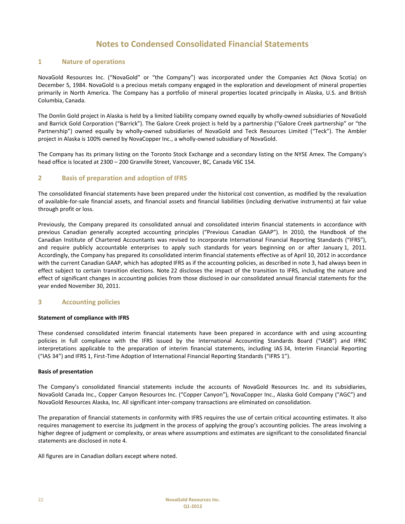## **1 Nature of operations**

NovaGold Resources Inc. ("NovaGold" or "the Company") was incorporated under the Companies Act (Nova Scotia) on December 5, 1984. NovaGold is a precious metals company engaged in the exploration and development of mineral properties primarily in North America. The Company has a portfolio of mineral properties located principally in Alaska, U.S. and British Columbia, Canada.

The Donlin Gold project in Alaska is held by a limited liability company owned equally by wholly-owned subsidiaries of NovaGold and Barrick Gold Corporation ("Barrick"). The Galore Creek project is held by a partnership ("Galore Creek partnership" or "the Partnership") owned equally by wholly-owned subsidiaries of NovaGold and Teck Resources Limited ("Teck"). The Ambler project in Alaska is 100% owned by NovaCopper Inc., a wholly-owned subsidiary of NovaGold.

The Company has its primary listing on the Toronto Stock Exchange and a secondary listing on the NYSE Amex. The Company's head office is located at 2300 – 200 Granville Street, Vancouver, BC, Canada V6C 1S4.

# **2 Basis of preparation and adoption of IFRS**

The consolidated financial statements have been prepared under the historical cost convention, as modified by the revaluation of available-for-sale financial assets, and financial assets and financial liabilities (including derivative instruments) at fair value through profit or loss.

Previously, the Company prepared its consolidated annual and consolidated interim financial statements in accordance with previous Canadian generally accepted accounting principles ("Previous Canadian GAAP"). In 2010, the Handbook of the Canadian Institute of Chartered Accountants was revised to incorporate International Financial Reporting Standards ("IFRS"), and require publicly accountable enterprises to apply such standards for years beginning on or after January 1, 2011. Accordingly, the Company has prepared its consolidated interim financial statements effective as of April 10, 2012 in accordance with the current Canadian GAAP, which has adopted IFRS as if the accounting policies, as described in note 3, had always been in effect subject to certain transition elections. Note 22 discloses the impact of the transition to IFRS, including the nature and effect of significant changes in accounting policies from those disclosed in our consolidated annual financial statements for the year ended November 30, 2011.

## **3 Accounting policies**

### **Statement of compliance with IFRS**

These condensed consolidated interim financial statements have been prepared in accordance with and using accounting policies in full compliance with the IFRS issued by the International Accounting Standards Board ("IASB") and IFRIC interpretations applicable to the preparation of interim financial statements, including IAS 34, Interim Financial Reporting ("IAS 34") and IFRS 1, First-Time Adoption of International Financial Reporting Standards ("IFRS 1").

### **Basis of presentation**

The Company's consolidated financial statements include the accounts of NovaGold Resources Inc. and its subsidiaries, NovaGold Canada Inc., Copper Canyon Resources Inc. ("Copper Canyon"), NovaCopper Inc., Alaska Gold Company ("AGC") and NovaGold Resources Alaska, Inc. All significant inter-company transactions are eliminated on consolidation.

The preparation of financial statements in conformity with IFRS requires the use of certain critical accounting estimates. It also requires management to exercise its judgment in the process of applying the group's accounting policies. The areas involving a higher degree of judgment or complexity, or areas where assumptions and estimates are significant to the consolidated financial statements are disclosed in note 4.

All figures are in Canadian dollars except where noted.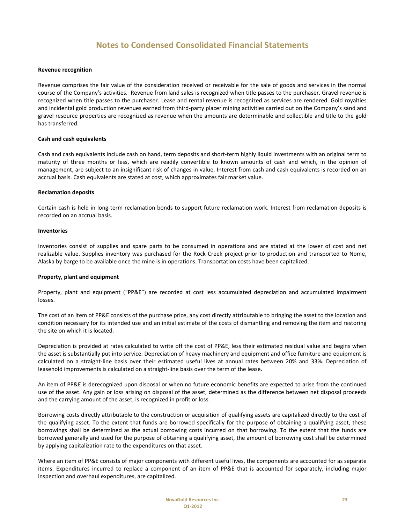#### **Revenue recognition**

Revenue comprises the fair value of the consideration received or receivable for the sale of goods and services in the normal course of the Company's activities. Revenue from land sales is recognized when title passes to the purchaser. Gravel revenue is recognized when title passes to the purchaser. Lease and rental revenue is recognized as services are rendered. Gold royalties and incidental gold production revenues earned from third-party placer mining activities carried out on the Company's sand and gravel resource properties are recognized as revenue when the amounts are determinable and collectible and title to the gold has transferred.

#### **Cash and cash equivalents**

Cash and cash equivalents include cash on hand, term deposits and short-term highly liquid investments with an original term to maturity of three months or less, which are readily convertible to known amounts of cash and which, in the opinion of management, are subject to an insignificant risk of changes in value. Interest from cash and cash equivalents is recorded on an accrual basis. Cash equivalents are stated at cost, which approximates fair market value.

#### **Reclamation deposits**

Certain cash is held in long-term reclamation bonds to support future reclamation work. Interest from reclamation deposits is recorded on an accrual basis.

#### **Inventories**

Inventories consist of supplies and spare parts to be consumed in operations and are stated at the lower of cost and net realizable value. Supplies inventory was purchased for the Rock Creek project prior to production and transported to Nome, Alaska by barge to be available once the mine is in operations. Transportation costs have been capitalized.

#### **Property, plant and equipment**

Property, plant and equipment ("PP&E") are recorded at cost less accumulated depreciation and accumulated impairment losses.

The cost of an item of PP&E consists of the purchase price, any cost directly attributable to bringing the asset to the location and condition necessary for its intended use and an initial estimate of the costs of dismantling and removing the item and restoring the site on which it is located.

Depreciation is provided at rates calculated to write off the cost of PP&E, less their estimated residual value and begins when the asset is substantially put into service. Depreciation of heavy machinery and equipment and office furniture and equipment is calculated on a straight-line basis over their estimated useful lives at annual rates between 20% and 33%. Depreciation of leasehold improvements is calculated on a straight-line basis over the term of the lease.

An item of PP&E is derecognized upon disposal or when no future economic benefits are expected to arise from the continued use of the asset. Any gain or loss arising on disposal of the asset, determined as the difference between net disposal proceeds and the carrying amount of the asset, is recognized in profit or loss.

Borrowing costs directly attributable to the construction or acquisition of qualifying assets are capitalized directly to the cost of the qualifying asset. To the extent that funds are borrowed specifically for the purpose of obtaining a qualifying asset, these borrowings shall be determined as the actual borrowing costs incurred on that borrowing. To the extent that the funds are borrowed generally and used for the purpose of obtaining a qualifying asset, the amount of borrowing cost shall be determined by applying capitalization rate to the expenditures on that asset.

Where an item of PP&E consists of major components with different useful lives, the components are accounted for as separate items. Expenditures incurred to replace a component of an item of PP&E that is accounted for separately, including major inspection and overhaul expenditures, are capitalized.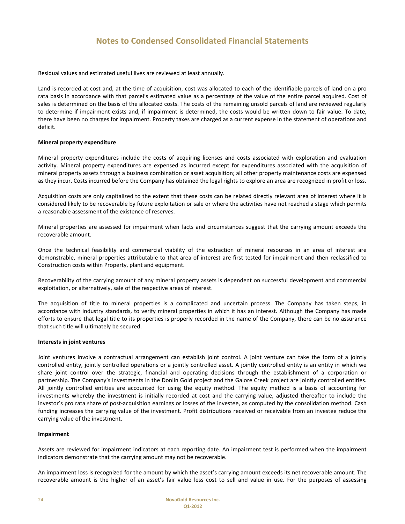Residual values and estimated useful lives are reviewed at least annually.

Land is recorded at cost and, at the time of acquisition, cost was allocated to each of the identifiable parcels of land on a pro rata basis in accordance with that parcel's estimated value as a percentage of the value of the entire parcel acquired. Cost of sales is determined on the basis of the allocated costs. The costs of the remaining unsold parcels of land are reviewed regularly to determine if impairment exists and, if impairment is determined, the costs would be written down to fair value. To date, there have been no charges for impairment. Property taxes are charged as a current expense in the statement of operations and deficit.

#### **Mineral property expenditure**

Mineral property expenditures include the costs of acquiring licenses and costs associated with exploration and evaluation activity. Mineral property expenditures are expensed as incurred except for expenditures associated with the acquisition of mineral property assets through a business combination or asset acquisition; all other property maintenance costs are expensed as they incur. Costs incurred before the Company has obtained the legal rights to explore an area are recognized in profit or loss.

Acquisition costs are only capitalized to the extent that these costs can be related directly relevant area of interest where it is considered likely to be recoverable by future exploitation or sale or where the activities have not reached a stage which permits a reasonable assessment of the existence of reserves.

Mineral properties are assessed for impairment when facts and circumstances suggest that the carrying amount exceeds the recoverable amount.

Once the technical feasibility and commercial viability of the extraction of mineral resources in an area of interest are demonstrable, mineral properties attributable to that area of interest are first tested for impairment and then reclassified to Construction costs within Property, plant and equipment.

Recoverability of the carrying amount of any mineral property assets is dependent on successful development and commercial exploitation, or alternatively, sale of the respective areas of interest.

The acquisition of title to mineral properties is a complicated and uncertain process. The Company has taken steps, in accordance with industry standards, to verify mineral properties in which it has an interest. Although the Company has made efforts to ensure that legal title to its properties is properly recorded in the name of the Company, there can be no assurance that such title will ultimately be secured.

#### **Interests in joint ventures**

Joint ventures involve a contractual arrangement can establish joint control. A joint venture can take the form of a jointly controlled entity, jointly controlled operations or a jointly controlled asset. A jointly controlled entity is an entity in which we share joint control over the strategic, financial and operating decisions through the establishment of a corporation or partnership. The Company's investments in the Donlin Gold project and the Galore Creek project are jointly controlled entities. All jointly controlled entities are accounted for using the equity method. The equity method is a basis of accounting for investments whereby the investment is initially recorded at cost and the carrying value, adjusted thereafter to include the investor's pro rata share of post-acquisition earnings or losses of the investee, as computed by the consolidation method. Cash funding increases the carrying value of the investment. Profit distributions received or receivable from an investee reduce the carrying value of the investment.

#### **Impairment**

Assets are reviewed for impairment indicators at each reporting date. An impairment test is performed when the impairment indicators demonstrate that the carrying amount may not be recoverable.

An impairment loss is recognized for the amount by which the asset's carrying amount exceeds its net recoverable amount. The recoverable amount is the higher of an asset's fair value less cost to sell and value in use. For the purposes of assessing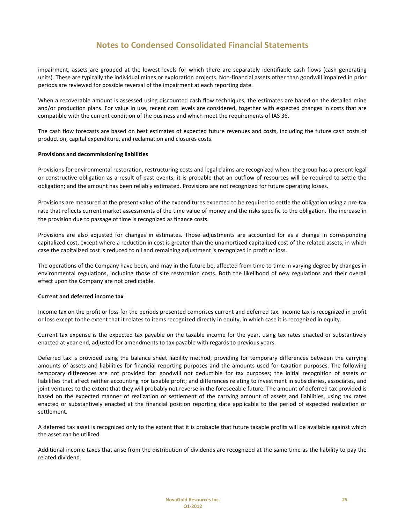impairment, assets are grouped at the lowest levels for which there are separately identifiable cash flows (cash generating units). These are typically the individual mines or exploration projects. Non-financial assets other than goodwill impaired in prior periods are reviewed for possible reversal of the impairment at each reporting date.

When a recoverable amount is assessed using discounted cash flow techniques, the estimates are based on the detailed mine and/or production plans. For value in use, recent cost levels are considered, together with expected changes in costs that are compatible with the current condition of the business and which meet the requirements of IAS 36.

The cash flow forecasts are based on best estimates of expected future revenues and costs, including the future cash costs of production, capital expenditure, and reclamation and closures costs.

#### **Provisions and decommissioning liabilities**

Provisions for environmental restoration, restructuring costs and legal claims are recognized when: the group has a present legal or constructive obligation as a result of past events; it is probable that an outflow of resources will be required to settle the obligation; and the amount has been reliably estimated. Provisions are not recognized for future operating losses.

Provisions are measured at the present value of the expenditures expected to be required to settle the obligation using a pre-tax rate that reflects current market assessments of the time value of money and the risks specific to the obligation. The increase in the provision due to passage of time is recognized as finance costs.

Provisions are also adjusted for changes in estimates. Those adjustments are accounted for as a change in corresponding capitalized cost, except where a reduction in cost is greater than the unamortized capitalized cost of the related assets, in which case the capitalized cost is reduced to nil and remaining adjustment is recognized in profit or loss.

The operations of the Company have been, and may in the future be, affected from time to time in varying degree by changes in environmental regulations, including those of site restoration costs. Both the likelihood of new regulations and their overall effect upon the Company are not predictable.

### **Current and deferred income tax**

Income tax on the profit or loss for the periods presented comprises current and deferred tax. Income tax is recognized in profit or loss except to the extent that it relates to items recognized directly in equity, in which case it is recognized in equity.

Current tax expense is the expected tax payable on the taxable income for the year, using tax rates enacted or substantively enacted at year end, adjusted for amendments to tax payable with regards to previous years.

Deferred tax is provided using the balance sheet liability method, providing for temporary differences between the carrying amounts of assets and liabilities for financial reporting purposes and the amounts used for taxation purposes. The following temporary differences are not provided for: goodwill not deductible for tax purposes; the initial recognition of assets or liabilities that affect neither accounting nor taxable profit; and differences relating to investment in subsidiaries, associates, and joint ventures to the extent that they will probably not reverse in the foreseeable future. The amount of deferred tax provided is based on the expected manner of realization or settlement of the carrying amount of assets and liabilities, using tax rates enacted or substantively enacted at the financial position reporting date applicable to the period of expected realization or settlement.

A deferred tax asset is recognized only to the extent that it is probable that future taxable profits will be available against which the asset can be utilized.

Additional income taxes that arise from the distribution of dividends are recognized at the same time as the liability to pay the related dividend.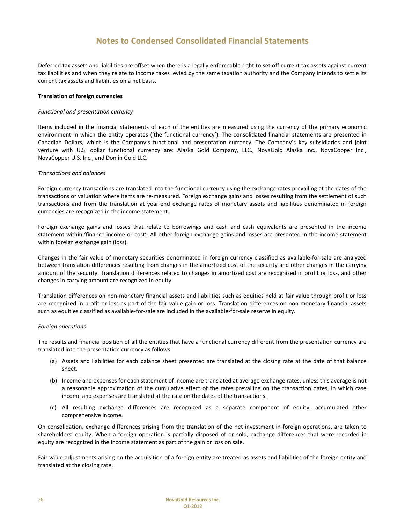Deferred tax assets and liabilities are offset when there is a legally enforceable right to set off current tax assets against current tax liabilities and when they relate to income taxes levied by the same taxation authority and the Company intends to settle its current tax assets and liabilities on a net basis.

### **Translation of foreign currencies**

#### *Functional and presentation currency*

Items included in the financial statements of each of the entities are measured using the currency of the primary economic environment in which the entity operates ('the functional currency'). The consolidated financial statements are presented in Canadian Dollars, which is the Company's functional and presentation currency. The Company's key subsidiaries and joint venture with U.S. dollar functional currency are: Alaska Gold Company, LLC., NovaGold Alaska Inc., NovaCopper Inc., NovaCopper U.S. Inc., and Donlin Gold LLC.

#### *Transactions and balances*

Foreign currency transactions are translated into the functional currency using the exchange rates prevailing at the dates of the transactions or valuation where items are re-measured. Foreign exchange gains and losses resulting from the settlement of such transactions and from the translation at year-end exchange rates of monetary assets and liabilities denominated in foreign currencies are recognized in the income statement.

Foreign exchange gains and losses that relate to borrowings and cash and cash equivalents are presented in the income statement within 'finance income or cost'. All other foreign exchange gains and losses are presented in the income statement within foreign exchange gain (loss).

Changes in the fair value of monetary securities denominated in foreign currency classified as available-for-sale are analyzed between translation differences resulting from changes in the amortized cost of the security and other changes in the carrying amount of the security. Translation differences related to changes in amortized cost are recognized in profit or loss, and other changes in carrying amount are recognized in equity.

Translation differences on non-monetary financial assets and liabilities such as equities held at fair value through profit or loss are recognized in profit or loss as part of the fair value gain or loss. Translation differences on non-monetary financial assets such as equities classified as available-for-sale are included in the available-for-sale reserve in equity.

#### *Foreign operations*

The results and financial position of all the entities that have a functional currency different from the presentation currency are translated into the presentation currency as follows:

- (a) Assets and liabilities for each balance sheet presented are translated at the closing rate at the date of that balance sheet.
- (b) Income and expenses for each statement of income are translated at average exchange rates, unless this average is not a reasonable approximation of the cumulative effect of the rates prevailing on the transaction dates, in which case income and expenses are translated at the rate on the dates of the transactions.
- (c) All resulting exchange differences are recognized as a separate component of equity, accumulated other comprehensive income.

On consolidation, exchange differences arising from the translation of the net investment in foreign operations, are taken to shareholders' equity. When a foreign operation is partially disposed of or sold, exchange differences that were recorded in equity are recognized in the income statement as part of the gain or loss on sale.

Fair value adjustments arising on the acquisition of a foreign entity are treated as assets and liabilities of the foreign entity and translated at the closing rate.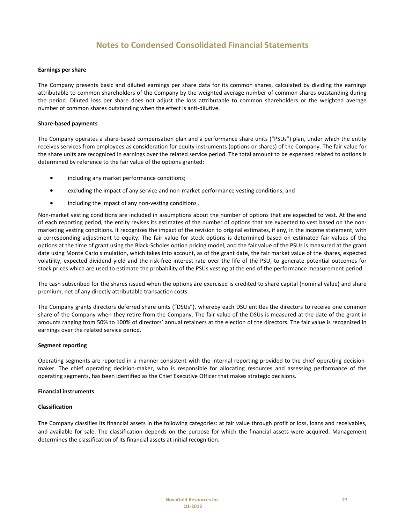#### **Earnings per share**

The Company presents basic and diluted earnings per share data for its common shares, calculated by dividing the earnings attributable to common shareholders of the Company by the weighted average number of common shares outstanding during the period. Diluted loss per share does not adjust the loss attributable to common shareholders or the weighted average number of common shares outstanding when the effect is anti-dilutive.

#### **Share-based payments**

The Company operates a share-based compensation plan and a performance share units ("PSUs") plan, under which the entity receives services from employees as consideration for equity instruments (options or shares) of the Company. The fair value for the share units are recognized in earnings over the related service period. The total amount to be expensed related to options is determined by reference to the fair value of the options granted:

- including any market performance conditions;
- excluding the impact of any service and non-market performance vesting conditions; and
- including the impact of any non-vesting conditions.

Non-market vesting conditions are included in assumptions about the number of options that are expected to vest. At the end of each reporting period, the entity revises its estimates of the number of options that are expected to vest based on the nonmarketing vesting conditions. It recognizes the impact of the revision to original estimates, if any, in the income statement, with a corresponding adjustment to equity. The fair value for stock options is determined based on estimated fair values of the options at the time of grant using the Black-Scholes option pricing model, and the fair value of the PSUs is measured at the grant date using Monte Carlo simulation, which takes into account, as of the grant date, the fair market value of the shares, expected volatility, expected dividend yield and the risk-free interest rate over the life of the PSU, to generate potential outcomes for stock prices which are used to estimate the probability of the PSUs vesting at the end of the performance measurement period.

The cash subscribed for the shares issued when the options are exercised is credited to share capital (nominal value) and share premium, net of any directly attributable transaction costs.

The Company grants directors deferred share units ("DSUs"), whereby each DSU entitles the directors to receive one common share of the Company when they retire from the Company. The fair value of the DSUs is measured at the date of the grant in amounts ranging from 50% to 100% of directors' annual retainers at the election of the directors. The fair value is recognized in earnings over the related service period.

#### **Segment reporting**

Operating segments are reported in a manner consistent with the internal reporting provided to the chief operating decisionmaker. The chief operating decision-maker, who is responsible for allocating resources and assessing performance of the operating segments, has been identified as the Chief Executive Officer that makes strategic decisions.

#### **Financial instruments**

#### **Classification**

The Company classifies its financial assets in the following categories: at fair value through profit or loss, loans and receivables, and available for sale. The classification depends on the purpose for which the financial assets were acquired. Management determines the classification of its financial assets at initial recognition.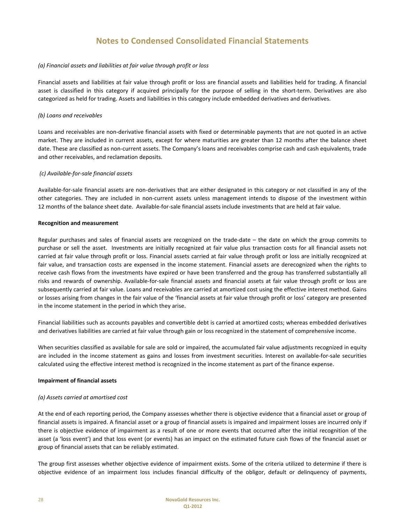### *(a) Financial assets and liabilities at fair value through profit or loss*

Financial assets and liabilities at fair value through profit or loss are financial assets and liabilities held for trading. A financial asset is classified in this category if acquired principally for the purpose of selling in the short-term. Derivatives are also categorized as held for trading. Assets and liabilities in this category include embedded derivatives and derivatives.

## *(b) Loans and receivables*

Loans and receivables are non-derivative financial assets with fixed or determinable payments that are not quoted in an active market. They are included in current assets, except for where maturities are greater than 12 months after the balance sheet date. These are classified as non-current assets. The Company's loans and receivables comprise cash and cash equivalents, trade and other receivables, and reclamation deposits.

## *(c) Available-for-sale financial assets*

Available-for-sale financial assets are non-derivatives that are either designated in this category or not classified in any of the other categories. They are included in non-current assets unless management intends to dispose of the investment within 12 months of the balance sheet date. Available-for-sale financial assets include investments that are held at fair value.

### **Recognition and measurement**

Regular purchases and sales of financial assets are recognized on the trade-date – the date on which the group commits to purchase or sell the asset. Investments are initially recognized at fair value plus transaction costs for all financial assets not carried at fair value through profit or loss. Financial assets carried at fair value through profit or loss are initially recognized at fair value, and transaction costs are expensed in the income statement. Financial assets are derecognized when the rights to receive cash flows from the investments have expired or have been transferred and the group has transferred substantially all risks and rewards of ownership. Available-for-sale financial assets and financial assets at fair value through profit or loss are subsequently carried at fair value. Loans and receivables are carried at amortized cost using the effective interest method. Gains or losses arising from changes in the fair value of the 'financial assets at fair value through profit or loss' category are presented in the income statement in the period in which they arise.

Financial liabilities such as accounts payables and convertible debt is carried at amortized costs; whereas embedded derivatives and derivatives liabilities are carried at fair value through gain or loss recognized in the statement of comprehensive income.

When securities classified as available for sale are sold or impaired, the accumulated fair value adjustments recognized in equity are included in the income statement as gains and losses from investment securities. Interest on available-for-sale securities calculated using the effective interest method is recognized in the income statement as part of the finance expense.

### **Impairment of financial assets**

### *(a) Assets carried at amortised cost*

At the end of each reporting period, the Company assesses whether there is objective evidence that a financial asset or group of financial assets is impaired. A financial asset or a group of financial assets is impaired and impairment losses are incurred only if there is objective evidence of impairment as a result of one or more events that occurred after the initial recognition of the asset (a 'loss event') and that loss event (or events) has an impact on the estimated future cash flows of the financial asset or group of financial assets that can be reliably estimated.

The group first assesses whether objective evidence of impairment exists. Some of the criteria utilized to determine if there is objective evidence of an impairment loss includes financial difficulty of the obligor, default or delinquency of payments,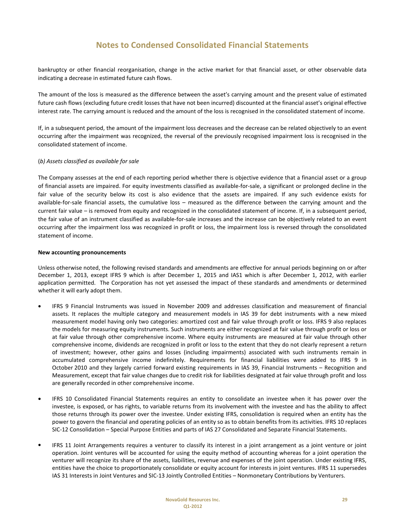bankruptcy or other financial reorganisation, change in the active market for that financial asset, or other observable data indicating a decrease in estimated future cash flows.

The amount of the loss is measured as the difference between the asset's carrying amount and the present value of estimated future cash flows (excluding future credit losses that have not been incurred) discounted at the financial asset's original effective interest rate. The carrying amount is reduced and the amount of the loss is recognised in the consolidated statement of income.

If, in a subsequent period, the amount of the impairment loss decreases and the decrease can be related objectively to an event occurring after the impairment was recognized, the reversal of the previously recognised impairment loss is recognised in the consolidated statement of income.

### (*b) Assets classified as available for sale*

The Company assesses at the end of each reporting period whether there is objective evidence that a financial asset or a group of financial assets are impaired. For equity investments classified as available-for-sale, a significant or prolonged decline in the fair value of the security below its cost is also evidence that the assets are impaired. If any such evidence exists for available-for-sale financial assets, the cumulative loss – measured as the difference between the carrying amount and the current fair value – is removed from equity and recognized in the consolidated statement of income. If, in a subsequent period, the fair value of an instrument classified as available-for-sale increases and the increase can be objectively related to an event occurring after the impairment loss was recognized in profit or loss, the impairment loss is reversed through the consolidated statement of income.

### **New accounting pronouncements**

Unless otherwise noted, the following revised standards and amendments are effective for annual periods beginning on or after December 1, 2013, except IFRS 9 which is after December 1, 2015 and IAS1 which is after December 1, 2012, with earlier application permitted. The Corporation has not yet assessed the impact of these standards and amendments or determined whether it will early adopt them.

- IFRS 9 Financial Instruments was issued in November 2009 and addresses classification and measurement of financial assets. It replaces the multiple category and measurement models in IAS 39 for debt instruments with a new mixed measurement model having only two categories: amortized cost and fair value through profit or loss. IFRS 9 also replaces the models for measuring equity instruments. Such instruments are either recognized at fair value through profit or loss or at fair value through other comprehensive income. Where equity instruments are measured at fair value through other comprehensive income, dividends are recognized in profit or loss to the extent that they do not clearly represent a return of investment; however, other gains and losses (including impairments) associated with such instruments remain in accumulated comprehensive income indefinitely. Requirements for financial liabilities were added to IFRS 9 in October 2010 and they largely carried forward existing requirements in IAS 39, Financial Instruments – Recognition and Measurement, except that fair value changes due to credit risk for liabilities designated at fair value through profit and loss are generally recorded in other comprehensive income.
- IFRS 10 Consolidated Financial Statements requires an entity to consolidate an investee when it has power over the investee, is exposed, or has rights, to variable returns from its involvement with the investee and has the ability to affect those returns through its power over the investee. Under existing IFRS, consolidation is required when an entity has the power to govern the financial and operating policies of an entity so as to obtain benefits from its activities. IFRS 10 replaces SIC-12 Consolidation – Special Purpose Entities and parts of IAS 27 Consolidated and Separate Financial Statements.
- IFRS 11 Joint Arrangements requires a venturer to classify its interest in a joint arrangement as a joint venture or joint operation. Joint ventures will be accounted for using the equity method of accounting whereas for a joint operation the venturer will recognize its share of the assets, liabilities, revenue and expenses of the joint operation. Under existing IFRS, entities have the choice to proportionately consolidate or equity account for interests in joint ventures. IFRS 11 supersedes IAS 31 Interests in Joint Ventures and SIC-13 Jointly Controlled Entities – Nonmonetary Contributions by Venturers.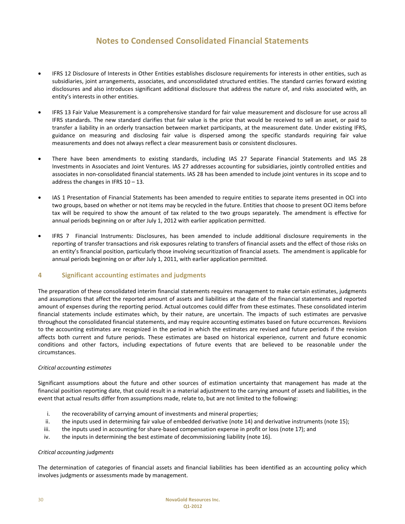- IFRS 12 Disclosure of Interests in Other Entities establishes disclosure requirements for interests in other entities, such as subsidiaries, joint arrangements, associates, and unconsolidated structured entities. The standard carries forward existing disclosures and also introduces significant additional disclosure that address the nature of, and risks associated with, an entity's interests in other entities.
- IFRS 13 Fair Value Measurement is a comprehensive standard for fair value measurement and disclosure for use across all IFRS standards. The new standard clarifies that fair value is the price that would be received to sell an asset, or paid to transfer a liability in an orderly transaction between market participants, at the measurement date. Under existing IFRS, guidance on measuring and disclosing fair value is dispersed among the specific standards requiring fair value measurements and does not always reflect a clear measurement basis or consistent disclosures.
- There have been amendments to existing standards, including IAS 27 Separate Financial Statements and IAS 28 Investments in Associates and Joint Ventures. IAS 27 addresses accounting for subsidiaries, jointly controlled entities and associates in non-consolidated financial statements. IAS 28 has been amended to include joint ventures in its scope and to address the changes in IFRS 10 – 13.
- IAS 1 Presentation of Financial Statements has been amended to require entities to separate items presented in OCI into two groups, based on whether or not items may be recycled in the future. Entities that choose to present OCI items before tax will be required to show the amount of tax related to the two groups separately. The amendment is effective for annual periods beginning on or after July 1, 2012 with earlier application permitted.
- IFRS 7 Financial Instruments: Disclosures, has been amended to include additional disclosure requirements in the reporting of transfer transactions and risk exposures relating to transfers of financial assets and the effect of those risks on an entity's financial position, particularly those involving securitization of financial assets. The amendment is applicable for annual periods beginning on or after July 1, 2011, with earlier application permitted.

## **4 Significant accounting estimates and judgments**

The preparation of these consolidated interim financial statements requires management to make certain estimates, judgments and assumptions that affect the reported amount of assets and liabilities at the date of the financial statements and reported amount of expenses during the reporting period. Actual outcomes could differ from these estimates. These consolidated interim financial statements include estimates which, by their nature, are uncertain. The impacts of such estimates are pervasive throughout the consolidated financial statements, and may require accounting estimates based on future occurrences. Revisions to the accounting estimates are recognized in the period in which the estimates are revised and future periods if the revision affects both current and future periods. These estimates are based on historical experience, current and future economic conditions and other factors, including expectations of future events that are believed to be reasonable under the circumstances.

### *Critical accounting estimates*

Significant assumptions about the future and other sources of estimation uncertainty that management has made at the financial position reporting date, that could result in a material adjustment to the carrying amount of assets and liabilities, in the event that actual results differ from assumptions made, relate to, but are not limited to the following:

- i. the recoverability of carrying amount of investments and mineral properties;
- ii. the inputs used in determining fair value of embedded derivative (note 14) and derivative instruments (note 15);
- iii. the inputs used in accounting for share-based compensation expense in profit or loss (note 17); and
- iv. the inputs in determining the best estimate of decommissioning liability (note 16).

#### *Critical accounting judgments*

The determination of categories of financial assets and financial liabilities has been identified as an accounting policy which involves judgments or assessments made by management.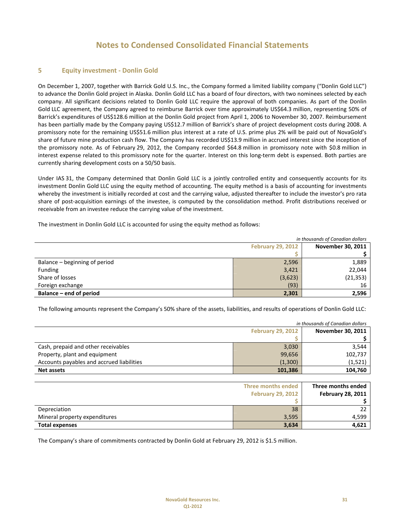## **5 Equity investment - Donlin Gold**

On December 1, 2007, together with Barrick Gold U.S. Inc., the Company formed a limited liability company ("Donlin Gold LLC") to advance the Donlin Gold project in Alaska. Donlin Gold LLC has a board of four directors, with two nominees selected by each company. All significant decisions related to Donlin Gold LLC require the approval of both companies. As part of the Donlin Gold LLC agreement, the Company agreed to reimburse Barrick over time approximately US\$64.3 million, representing 50% of Barrick's expenditures of US\$128.6 million at the Donlin Gold project from April 1, 2006 to November 30, 2007. Reimbursement has been partially made by the Company paying US\$12.7 million of Barrick's share of project development costs during 2008. A promissory note for the remaining US\$51.6 million plus interest at a rate of U.S. prime plus 2% will be paid out of NovaGold's share of future mine production cash flow. The Company has recorded US\$13.9 million in accrued interest since the inception of the promissory note. As of February 29, 2012, the Company recorded \$64.8 million in promissory note with \$0.8 million in interest expense related to this promissory note for the quarter. Interest on this long-term debt is expensed. Both parties are currently sharing development costs on a 50/50 basis.

Under IAS 31, the Company determined that Donlin Gold LLC is a jointly controlled entity and consequently accounts for its investment Donlin Gold LLC using the equity method of accounting. The equity method is a basis of accounting for investments whereby the investment is initially recorded at cost and the carrying value, adjusted thereafter to include the investor's pro rata share of post-acquisition earnings of the investee, is computed by the consolidation method. Profit distributions received or receivable from an investee reduce the carrying value of the investment.

The investment in Donlin Gold LLC is accounted for using the equity method as follows:

| in thousands of Canadian dollars |                          |                          |  |
|----------------------------------|--------------------------|--------------------------|--|
|                                  | <b>February 29, 2012</b> | <b>November 30, 2011</b> |  |
|                                  |                          |                          |  |
| Balance – beginning of period    | 2,596                    | 1,889                    |  |
| Funding                          | 3,421                    | 22,044                   |  |
| Share of losses                  | (3,623)                  | (21, 353)                |  |
| Foreign exchange                 | (93)                     | 16                       |  |
| Balance – end of period          | 2,301                    | 2,596                    |  |

The following amounts represent the Company's 50% share of the assets, liabilities, and results of operations of Donlin Gold LLC:

|                                           |         | in thousands of Canadian dollars |
|-------------------------------------------|---------|----------------------------------|
| <b>February 29, 2012</b>                  |         | <b>November 30, 2011</b>         |
|                                           |         |                                  |
| Cash, prepaid and other receivables       | 3,030   | 3,544                            |
| Property, plant and equipment             | 99,656  | 102,737                          |
| Accounts payables and accrued liabilities | (1,300) | (1,521)                          |
| Net assets                                | 101,386 | 104,760                          |

| <b>Three months ended</b><br><b>February 29, 2012</b> |       | Three months ended<br><b>February 28, 2011</b> |
|-------------------------------------------------------|-------|------------------------------------------------|
|                                                       |       |                                                |
| Depreciation                                          | 38    | 22                                             |
| Mineral property expenditures                         | 3,595 | 4.599                                          |
| <b>Total expenses</b>                                 | 3,634 | 4,621                                          |

The Company's share of commitments contracted by Donlin Gold at February 29, 2012 is \$1.5 million.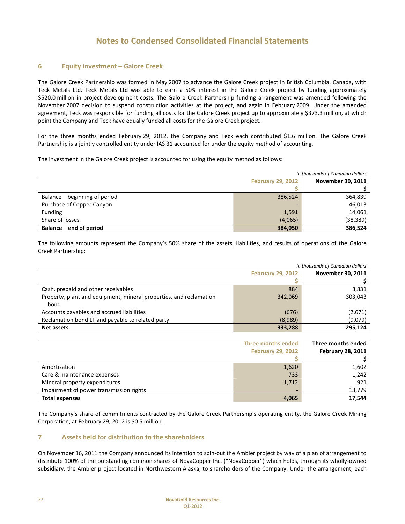## **6 Equity investment – Galore Creek**

The Galore Creek Partnership was formed in May 2007 to advance the Galore Creek project in British Columbia, Canada, with Teck Metals Ltd. Teck Metals Ltd was able to earn a 50% interest in the Galore Creek project by funding approximately \$520.0 million in project development costs. The Galore Creek Partnership funding arrangement was amended following the November 2007 decision to suspend construction activities at the project, and again in February 2009. Under the amended agreement, Teck was responsible for funding all costs for the Galore Creek project up to approximately \$373.3 million, at which point the Company and Teck have equally funded all costs for the Galore Creek project.

For the three months ended February 29, 2012, the Company and Teck each contributed \$1.6 million. The Galore Creek Partnership is a jointly controlled entity under IAS 31 accounted for under the equity method of accounting.

The investment in the Galore Creek project is accounted for using the equity method as follows:

| in thousands of Canadian dollars |                          |                   |
|----------------------------------|--------------------------|-------------------|
|                                  | <b>February 29, 2012</b> | November 30, 2011 |
|                                  |                          |                   |
| Balance – beginning of period    | 386,524                  | 364,839           |
| Purchase of Copper Canyon        |                          | 46,013            |
| <b>Funding</b>                   | 1,591                    | 14,061            |
| Share of losses                  | (4,065)                  | (38, 389)         |
| Balance – end of period          | 384,050                  | 386,524           |

The following amounts represent the Company's 50% share of the assets, liabilities, and results of operations of the Galore Creek Partnership:

|                                                                            |                          | in thousands of Canadian dollars |
|----------------------------------------------------------------------------|--------------------------|----------------------------------|
|                                                                            | <b>February 29, 2012</b> | <b>November 30, 2011</b>         |
|                                                                            |                          |                                  |
| Cash, prepaid and other receivables                                        | 884                      | 3,831                            |
| Property, plant and equipment, mineral properties, and reclamation<br>bond | 342,069                  | 303,043                          |
| Accounts payables and accrued liabilities                                  | (676)                    | (2,671)                          |
| Reclamation bond LT and payable to related party                           | (8,989)                  | (9,079)                          |
| Net assets                                                                 | 333,288                  | 295.124                          |

| Three months ended<br><b>February 29, 2012</b> |       | Three months ended<br><b>February 28, 2011</b> |
|------------------------------------------------|-------|------------------------------------------------|
|                                                |       |                                                |
| Amortization                                   | 1,620 | 1,602                                          |
| Care & maintenance expenses                    | 733   | 1,242                                          |
| Mineral property expenditures                  | 1,712 | 921                                            |
| Impairment of power transmission rights        |       | 13,779                                         |
| <b>Total expenses</b>                          | 4,065 | 17,544                                         |

The Company's share of commitments contracted by the Galore Creek Partnership's operating entity, the Galore Creek Mining Corporation, at February 29, 2012 is \$0.5 million.

# **7 Assets held for distribution to the shareholders**

On November 16, 2011 the Company announced its intention to spin-out the Ambler project by way of a plan of arrangement to distribute 100% of the outstanding common shares of NovaCopper Inc. ("NovaCopper") which holds, through its wholly-owned subsidiary, the Ambler project located in Northwestern Alaska, to shareholders of the Company. Under the arrangement, each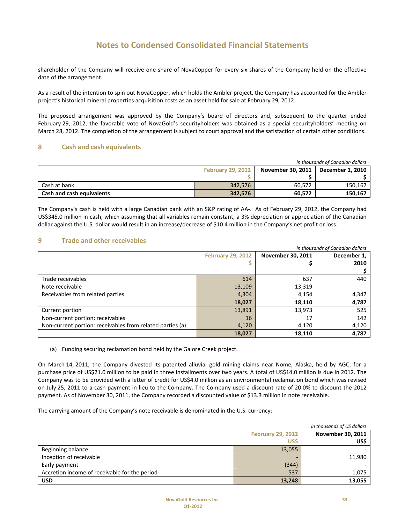shareholder of the Company will receive one share of NovaCopper for every six shares of the Company held on the effective date of the arrangement.

As a result of the intention to spin out NovaCopper, which holds the Ambler project, the Company has accounted for the Ambler project's historical mineral properties acquisition costs as an asset held for sale at February 29, 2012.

The proposed arrangement was approved by the Company's board of directors and, subsequent to the quarter ended February 29, 2012, the favorable vote of NovaGold's securityholders was obtained as a special securityholders' meeting on March 28, 2012. The completion of the arrangement is subject to court approval and the satisfaction of certain other conditions.

## **8 Cash and cash equivalents**

| in thousands of Canadian dollars |                          |                   |                         |
|----------------------------------|--------------------------|-------------------|-------------------------|
|                                  | <b>February 29, 2012</b> | November 30, 2011 | <b>December 1, 2010</b> |
|                                  |                          |                   |                         |
| Cash at bank                     | 342.576                  | 60.572            | 150,167                 |
| Cash and cash equivalents        | 342,576                  | 60,572            | 150.167                 |

The Company's cash is held with a large Canadian bank with an S&P rating of AA-. As of February 29, 2012, the Company had US\$345.0 million in cash, which assuming that all variables remain constant, a 3% depreciation or appreciation of the Canadian dollar against the U.S. dollar would result in an increase/decrease of \$10.4 million in the Company's net profit or loss.

# **9 Trade and other receivables**

|                                                           |                          |                          | in thousands of Canadian dollars |
|-----------------------------------------------------------|--------------------------|--------------------------|----------------------------------|
|                                                           | <b>February 29, 2012</b> | <b>November 30, 2011</b> | December 1,                      |
|                                                           |                          |                          | 2010                             |
|                                                           |                          |                          |                                  |
| Trade receivables                                         | 614                      | 637                      | 440                              |
| Note receivable                                           | 13,109                   | 13,319                   |                                  |
| Receivables from related parties                          | 4,304                    | 4,154                    | 4,347                            |
|                                                           | 18,027                   | 18,110                   | 4,787                            |
| Current portion                                           | 13,891                   | 13,973                   | 525                              |
| Non-current portion: receivables                          | 16                       | 17                       | 142                              |
| Non-current portion: receivables from related parties (a) | 4,120                    | 4,120                    | 4,120                            |
|                                                           | 18,027                   | 18,110                   | 4,787                            |

(a) Funding securing reclamation bond held by the Galore Creek project.

On March 14, 2011, the Company divested its patented alluvial gold mining claims near Nome, Alaska, held by AGC, for a purchase price of US\$21.0 million to be paid in three installments over two years. A total of US\$14.0 million is due in 2012. The Company was to be provided with a letter of credit for US\$4.0 million as an environmental reclamation bond which was revised on July 25, 2011 to a cash payment in lieu to the Company. The Company used a discount rate of 20.0% to discount the 2012 payment. As of November 30, 2011, the Company recorded a discounted value of \$13.3 million in note receivable.

The carrying amount of the Company's note receivable is denominated in the U.S. currency:

|                                               |        | in thousands of US dollars |
|-----------------------------------------------|--------|----------------------------|
| <b>February 29, 2012</b>                      |        | November 30, 2011          |
|                                               | US\$   | US\$                       |
| Beginning balance                             | 13,055 |                            |
| Inception of receivable                       |        | 11,980                     |
| Early payment                                 | (344)  |                            |
| Accretion income of receivable for the period | 537    | 1,075                      |
| <b>USD</b>                                    | 13,248 | 13,055                     |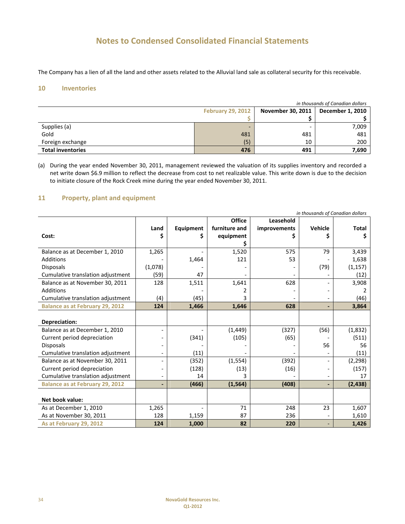The Company has a lien of all the land and other assets related to the Alluvial land sale as collateral security for this receivable.

## **10 Inventories**

|                          |                          |                  | in thousands of Canadian dollars |
|--------------------------|--------------------------|------------------|----------------------------------|
|                          | <b>November 30, 2011</b> | December 1, 2010 |                                  |
|                          |                          |                  |                                  |
| Supplies (a)             |                          |                  | 7,009                            |
| Gold                     | 481                      | 481              | 481                              |
| Foreign exchange         | (5)                      | 10               | 200                              |
| <b>Total inventories</b> | 476                      | 491              | 7,690                            |

(a) During the year ended November 30, 2011, management reviewed the valuation of its supplies inventory and recorded a net write down \$6.9 million to reflect the decrease from cost to net realizable value. This write down is due to the decision to initiate closure of the Rock Creek mine during the year ended November 30, 2011.

# **11 Property, plant and equipment**

| in thousands of Canadian dollars       |         |           |               |              |                              |              |
|----------------------------------------|---------|-----------|---------------|--------------|------------------------------|--------------|
|                                        |         |           | Office        | Leasehold    |                              |              |
|                                        | Land    | Equipment | furniture and | improvements | Vehicle                      | <b>Total</b> |
| Cost:                                  | Ś       | Ś         | equipment     | Ś            |                              | Ś            |
|                                        |         |           |               |              |                              |              |
| Balance as at December 1, 2010         | 1,265   |           | 1,520         | 575          | 79                           | 3,439        |
| <b>Additions</b>                       |         | 1,464     | 121           | 53           |                              | 1,638        |
| <b>Disposals</b>                       | (1,078) |           |               |              | (79)                         | (1, 157)     |
| Cumulative translation adjustment      | (59)    | 47        |               |              |                              | (12)         |
| Balance as at November 30, 2011        | 128     | 1,511     | 1,641         | 628          |                              | 3,908        |
| <b>Additions</b>                       |         |           | 2             |              |                              |              |
| Cumulative translation adjustment      | (4)     | (45)      | 3             |              |                              | (46)         |
| <b>Balance as at February 29, 2012</b> | 124     | 1,466     | 1,646         | 628          | $\qquad \qquad \blacksquare$ | 3,864        |
|                                        |         |           |               |              |                              |              |
| <b>Depreciation:</b>                   |         |           |               |              |                              |              |
| Balance as at December 1, 2010         |         |           | (1, 449)      | (327)        | (56)                         | (1,832)      |
| Current period depreciation            |         | (341)     | (105)         | (65)         |                              | (511)        |
| <b>Disposals</b>                       |         |           |               |              | 56                           | 56           |
| Cumulative translation adjustment      |         | (11)      |               |              |                              | (11)         |
| Balance as at November 30, 2011        |         | (352)     | (1, 554)      | (392)        |                              | (2, 298)     |
| Current period depreciation            |         | (128)     | (13)          | (16)         |                              | (157)        |
| Cumulative translation adjustment      |         | 14        |               |              |                              | 17           |
| <b>Balance as at February 29, 2012</b> |         | (466)     | (1, 564)      | (408)        | $\overline{\phantom{a}}$     | (2, 438)     |
|                                        |         |           |               |              |                              |              |
| Net book value:                        |         |           |               |              |                              |              |
| As at December 1, 2010                 | 1,265   |           | 71            | 248          | 23                           | 1,607        |
| As at November 30, 2011                | 128     | 1,159     | 87            | 236          |                              | 1,610        |
| As at February 29, 2012                | 124     | 1,000     | 82            | 220          | $\overline{\phantom{a}}$     | 1,426        |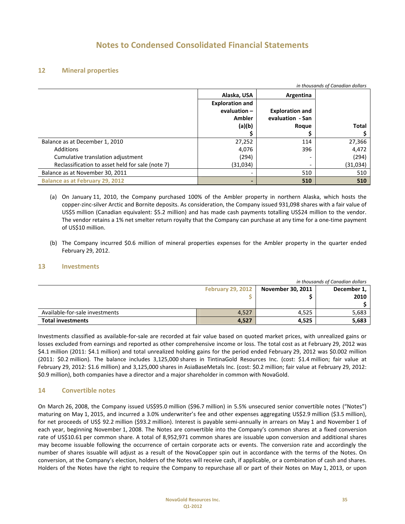## **12 Mineral properties**

|                                                  |                        |                        | in thousands of Canadian dollars |
|--------------------------------------------------|------------------------|------------------------|----------------------------------|
|                                                  | Alaska, USA            | Argentina              |                                  |
|                                                  | <b>Exploration and</b> |                        |                                  |
|                                                  | evaluation $-$         | <b>Exploration and</b> |                                  |
|                                                  | <b>Ambler</b>          | evaluation - San       |                                  |
|                                                  | (a)(b)                 | Roque                  | <b>Total</b>                     |
|                                                  |                        |                        |                                  |
| Balance as at December 1, 2010                   | 27,252                 | 114                    | 27,366                           |
| Additions                                        | 4,076                  | 396                    | 4,472                            |
| Cumulative translation adjustment                | (294)                  |                        | (294)                            |
| Reclassification to asset held for sale (note 7) | (31,034)               |                        | (31,034)                         |
| Balance as at November 30, 2011                  | -                      | 510                    | 510                              |
| <b>Balance as at February 29, 2012</b>           | -                      | 510                    | 510                              |

- (a) On January 11, 2010, the Company purchased 100% of the Ambler property in northern Alaska, which hosts the copper-zinc-silver Arctic and Bornite deposits. As consideration, the Company issued 931,098 shares with a fair value of US\$5 million (Canadian equivalent: \$5.2 million) and has made cash payments totalling US\$24 million to the vendor. The vendor retains a 1% net smelter return royalty that the Company can purchase at any time for a one-time payment of US\$10 million.
- (b) The Company incurred \$0.6 million of mineral properties expenses for the Ambler property in the quarter ended February 29, 2012.

### **13 Investments**

|                                |                          |                   | in thousands of Canadian dollars |
|--------------------------------|--------------------------|-------------------|----------------------------------|
|                                | <b>February 29, 2012</b> | November 30, 2011 | December 1,                      |
|                                |                          |                   | 2010                             |
|                                |                          |                   |                                  |
| Available-for-sale investments | 4,527                    | 4.525             | 5.683                            |
| <b>Total investments</b>       | 4,527                    | 4,525             | 5,683                            |

Investments classified as available-for-sale are recorded at fair value based on quoted market prices, with unrealized gains or losses excluded from earnings and reported as other comprehensive income or loss. The total cost as at February 29, 2012 was \$4.1 million (2011: \$4.1 million) and total unrealized holding gains for the period ended February 29, 2012 was \$0.002 million (2011: \$0.2 million). The balance includes 3,125,000 shares in TintinaGold Resources Inc. (cost: \$1.4 million; fair value at February 29, 2012: \$1.6 million) and 3,125,000 shares in AsiaBaseMetals Inc. (cost: \$0.2 million; fair value at February 29, 2012: \$0.9 million), both companies have a director and a major shareholder in common with NovaGold.

## **14 Convertible notes**

On March 26, 2008, the Company issued US\$95.0 million (\$96.7 million) in 5.5% unsecured senior convertible notes ("Notes") maturing on May 1, 2015, and incurred a 3.0% underwriter's fee and other expenses aggregating US\$2.9 million (\$3.5 million), for net proceeds of US\$ 92.2 million (\$93.2 million). Interest is payable semi-annually in arrears on May 1 and November 1 of each year, beginning November 1, 2008. The Notes are convertible into the Company's common shares at a fixed conversion rate of US\$10.61 per common share. A total of 8,952,971 common shares are issuable upon conversion and additional shares may become issuable following the occurrence of certain corporate acts or events. The conversion rate and accordingly the number of shares issuable will adjust as a result of the NovaCopper spin out in accordance with the terms of the Notes. On conversion, at the Company's election, holders of the Notes will receive cash, if applicable, or a combination of cash and shares. Holders of the Notes have the right to require the Company to repurchase all or part of their Notes on May 1, 2013, or upon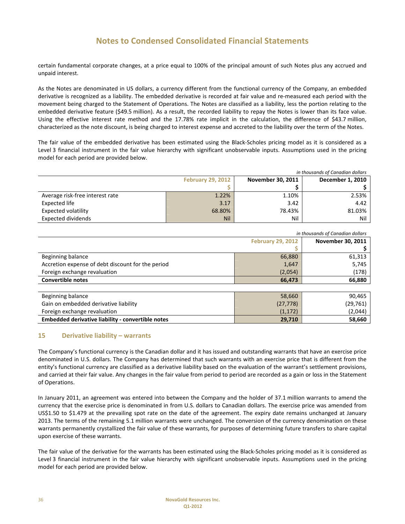certain fundamental corporate changes, at a price equal to 100% of the principal amount of such Notes plus any accrued and unpaid interest.

As the Notes are denominated in US dollars, a currency different from the functional currency of the Company, an embedded derivative is recognized as a liability. The embedded derivative is recorded at fair value and re-measured each period with the movement being charged to the Statement of Operations. The Notes are classified as a liability, less the portion relating to the embedded derivative feature (\$49.5 million). As a result, the recorded liability to repay the Notes is lower than its face value. Using the effective interest rate method and the 17.78% rate implicit in the calculation, the difference of \$43.7 million, characterized as the note discount, is being charged to interest expense and accreted to the liability over the term of the Notes.

The fair value of the embedded derivative has been estimated using the Black-Scholes pricing model as it is considered as a Level 3 financial instrument in the fair value hierarchy with significant unobservable inputs. Assumptions used in the pricing model for each period are provided below.

| in thousands of Canadian dollars |            |                   |                  |  |
|----------------------------------|------------|-------------------|------------------|--|
| <b>February 29, 2012</b>         |            | November 30, 2011 | December 1, 2010 |  |
|                                  |            |                   |                  |  |
| Average risk-free interest rate  | 1.22%      | 1.10%             | 2.53%            |  |
| Expected life                    | 3.17       | 3.42              | 4.42             |  |
| <b>Expected volatility</b>       | 68.80%     | 78.43%            | 81.03%           |  |
| <b>Expected dividends</b>        | <b>Nil</b> | Nil               | Nil              |  |

| in thousands of Canadian dollars                  |         |                          |
|---------------------------------------------------|---------|--------------------------|
| <b>February 29, 2012</b>                          |         | <b>November 30, 2011</b> |
|                                                   |         |                          |
| Beginning balance                                 | 66,880  | 61,313                   |
| Accretion expense of debt discount for the period | 1,647   | 5,745                    |
| Foreign exchange revaluation                      | (2,054) | (178)                    |
| <b>Convertible notes</b>                          | 66,473  | 66,880                   |

| Beginning balance                                 | 58,660    | 90,465    |
|---------------------------------------------------|-----------|-----------|
| Gain on embedded derivative liability             | (27, 778) | (29, 761) |
| Foreign exchange revaluation                      | (1, 172)  | (2,044)   |
| Embedded derivative liability - convertible notes | 29,710    | 58,660    |

### **15 Derivative liability – warrants**

The Company's functional currency is the Canadian dollar and it has issued and outstanding warrants that have an exercise price denominated in U.S. dollars. The Company has determined that such warrants with an exercise price that is different from the entity's functional currency are classified as a derivative liability based on the evaluation of the warrant's settlement provisions, and carried at their fair value. Any changes in the fair value from period to period are recorded as a gain or loss in the Statement of Operations.

In January 2011, an agreement was entered into between the Company and the holder of 37.1 million warrants to amend the currency that the exercise price is denominated in from U.S. dollars to Canadian dollars. The exercise price was amended from US\$1.50 to \$1.479 at the prevailing spot rate on the date of the agreement. The expiry date remains unchanged at January 2013. The terms of the remaining 5.1 million warrants were unchanged. The conversion of the currency denomination on these warrants permanently crystallized the fair value of these warrants, for purposes of determining future transfers to share capital upon exercise of these warrants.

The fair value of the derivative for the warrants has been estimated using the Black-Scholes pricing model as it is considered as Level 3 financial instrument in the fair value hierarchy with significant unobservable inputs. Assumptions used in the pricing model for each period are provided below.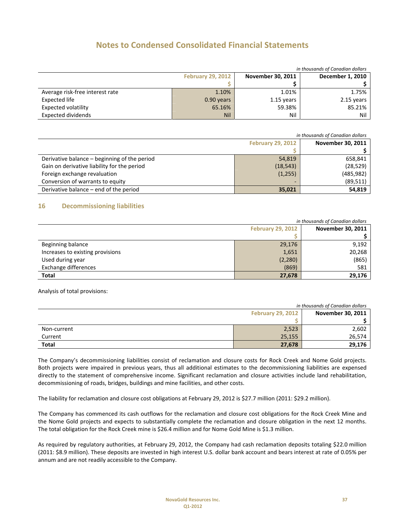| in thousands of Canadian dollars |            |                   |                  |  |
|----------------------------------|------------|-------------------|------------------|--|
| <b>February 29, 2012</b>         |            | November 30, 2011 | December 1, 2010 |  |
|                                  |            |                   |                  |  |
| Average risk-free interest rate  | 1.10%      | 1.01%             | 1.75%            |  |
| Expected life                    | 0.90 years | $1.15$ years      | 2.15 years       |  |
| Expected volatility              | 65.16%     | 59.38%            | 85.21%           |  |
| <b>Expected dividends</b>        | <b>Nil</b> | Nil               | Nil              |  |

| in thousands of Canadian dollars             |           |                          |
|----------------------------------------------|-----------|--------------------------|
| <b>February 29, 2012</b>                     |           | <b>November 30, 2011</b> |
|                                              |           |                          |
| Derivative balance – beginning of the period | 54,819    | 658,841                  |
| Gain on derivative liability for the period  | (18, 543) | (28, 529)                |
| Foreign exchange revaluation                 | (1,255)   | (485, 982)               |
| Conversion of warrants to equity             | -         | (89, 511)                |
| Derivative balance – end of the period       | 35,021    | 54,819                   |

# **16 Decommissioning liabilities**

|                                  |                          | in thousands of Canadian dollars |
|----------------------------------|--------------------------|----------------------------------|
|                                  | <b>February 29, 2012</b> |                                  |
|                                  |                          |                                  |
| Beginning balance                | 29,176                   | 9,192                            |
| Increases to existing provisions | 1,651                    | 20,268                           |
| Used during year                 | (2, 280)                 | (865)                            |
| Exchange differences             | (869)                    | 581                              |
| <b>Total</b>                     | 27,678                   | 29,176                           |

Analysis of total provisions:

| in thousands of Canadian dollars |        |                   |
|----------------------------------|--------|-------------------|
| <b>February 29, 2012</b>         |        | November 30, 2011 |
|                                  |        |                   |
| Non-current                      | 2,523  | 2,602             |
| Current                          | 25,155 | 26,574            |
| <b>Total</b>                     | 27,678 | 29,176            |

The Company's decommissioning liabilities consist of reclamation and closure costs for Rock Creek and Nome Gold projects. Both projects were impaired in previous years, thus all additional estimates to the decommissioning liabilities are expensed directly to the statement of comprehensive income. Significant reclamation and closure activities include land rehabilitation, decommissioning of roads, bridges, buildings and mine facilities, and other costs.

The liability for reclamation and closure cost obligations at February 29, 2012 is \$27.7 million (2011: \$29.2 million).

The Company has commenced its cash outflows for the reclamation and closure cost obligations for the Rock Creek Mine and the Nome Gold projects and expects to substantially complete the reclamation and closure obligation in the next 12 months. The total obligation for the Rock Creek mine is \$26.4 million and for Nome Gold Mine is \$1.3 million.

As required by regulatory authorities, at February 29, 2012, the Company had cash reclamation deposits totaling \$22.0 million (2011: \$8.9 million). These deposits are invested in high interest U.S. dollar bank account and bears interest at rate of 0.05% per annum and are not readily accessible to the Company.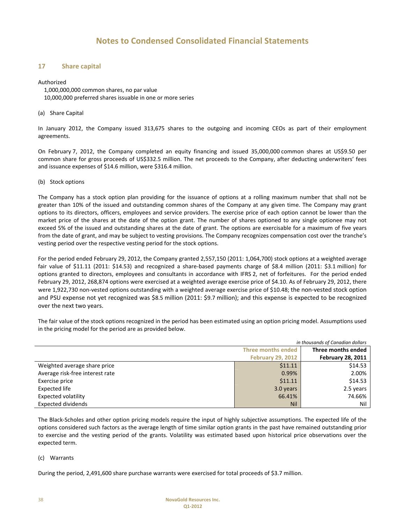## **17 Share capital**

### Authorized

1,000,000,000 common shares, no par value 10,000,000 preferred shares issuable in one or more series

#### (a) Share Capital

In January 2012, the Company issued 313,675 shares to the outgoing and incoming CEOs as part of their employment agreements.

On February 7, 2012, the Company completed an equity financing and issued 35,000,000 common shares at US\$9.50 per common share for gross proceeds of US\$332.5 million. The net proceeds to the Company, after deducting underwriters' fees and issuance expenses of \$14.6 million, were \$316.4 million.

#### (b) Stock options

The Company has a stock option plan providing for the issuance of options at a rolling maximum number that shall not be greater than 10% of the issued and outstanding common shares of the Company at any given time. The Company may grant options to its directors, officers, employees and service providers. The exercise price of each option cannot be lower than the market price of the shares at the date of the option grant. The number of shares optioned to any single optionee may not exceed 5% of the issued and outstanding shares at the date of grant. The options are exercisable for a maximum of five years from the date of grant, and may be subject to vesting provisions. The Company recognizes compensation cost over the tranche's vesting period over the respective vesting period for the stock options.

For the period ended February 29, 2012, the Company granted 2,557,150 (2011: 1,064,700) stock options at a weighted average fair value of \$11.11 (2011: \$14.53) and recognized a share-based payments charge of \$8.4 million (2011: \$3.1 million) for options granted to directors, employees and consultants in accordance with IFRS 2, net of forfeitures. For the period ended February 29, 2012, 268,874 options were exercised at a weighted average exercise price of \$4.10. As of February 29, 2012, there were 1,922,730 non-vested options outstanding with a weighted average exercise price of \$10.48; the non-vested stock option and PSU expense not yet recognized was \$8.5 million (2011: \$9.7 million); and this expense is expected to be recognized over the next two years.

The fair value of the stock options recognized in the period has been estimated using an option pricing model. Assumptions used in the pricing model for the period are as provided below.

| in thousands of Canadian dollars |                          |                          |
|----------------------------------|--------------------------|--------------------------|
| Three months ended               |                          | Three months ended       |
|                                  | <b>February 29, 2012</b> | <b>February 28, 2011</b> |
| Weighted average share price     | \$11.11                  | \$14.53                  |
| Average risk-free interest rate  | 0.99%                    | 2.00%                    |
| Exercise price                   | \$11.11                  | \$14.53                  |
| <b>Expected life</b>             | 3.0 years                | 2.5 years                |
| <b>Expected volatility</b>       | 66.41%                   | 74.66%                   |
| <b>Expected dividends</b>        | Nil                      | Nil                      |

The Black-Scholes and other option pricing models require the input of highly subjective assumptions. The expected life of the options considered such factors as the average length of time similar option grants in the past have remained outstanding prior to exercise and the vesting period of the grants. Volatility was estimated based upon historical price observations over the expected term.

### (c) Warrants

During the period, 2,491,600 share purchase warrants were exercised for total proceeds of \$3.7 million.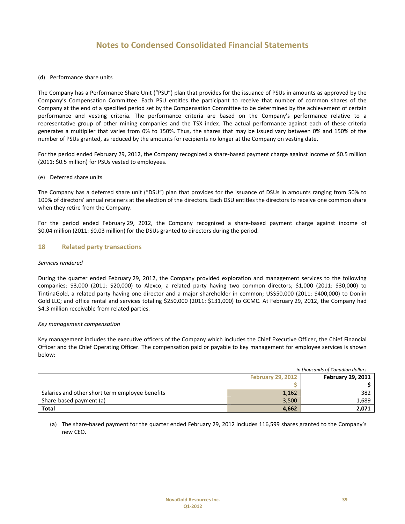### (d) Performance share units

The Company has a Performance Share Unit ("PSU") plan that provides for the issuance of PSUs in amounts as approved by the Company's Compensation Committee. Each PSU entitles the participant to receive that number of common shares of the Company at the end of a specified period set by the Compensation Committee to be determined by the achievement of certain performance and vesting criteria. The performance criteria are based on the Company's performance relative to a representative group of other mining companies and the TSX index. The actual performance against each of these criteria generates a multiplier that varies from 0% to 150%. Thus, the shares that may be issued vary between 0% and 150% of the number of PSUs granted, as reduced by the amounts for recipients no longer at the Company on vesting date.

For the period ended February 29, 2012, the Company recognized a share-based payment charge against income of \$0.5 million (2011: \$0.5 million) for PSUs vested to employees.

#### (e) Deferred share units

The Company has a deferred share unit ("DSU") plan that provides for the issuance of DSUs in amounts ranging from 50% to 100% of directors' annual retainers at the election of the directors. Each DSU entitles the directors to receive one common share when they retire from the Company.

For the period ended February 29, 2012, the Company recognized a share-based payment charge against income of \$0.04 million (2011: \$0.03 million) for the DSUs granted to directors during the period.

### **18 Related party transactions**

#### *Services rendered*

During the quarter ended February 29, 2012, the Company provided exploration and management services to the following companies: \$3,000 (2011: \$20,000) to Alexco, a related party having two common directors; \$1,000 (2011: \$30,000) to TintinaGold, a related party having one director and a major shareholder in common; US\$50,000 (2011: \$400,000) to Donlin Gold LLC; and office rental and services totaling \$250,000 (2011: \$131,000) to GCMC. At February 29, 2012, the Company had \$4.3 million receivable from related parties.

#### *Key management compensation*

Key management includes the executive officers of the Company which includes the Chief Executive Officer, the Chief Financial Officer and the Chief Operating Officer. The compensation paid or payable to key management for employee services is shown below:

|                                                 | in thousands of Canadian dollars |       |
|-------------------------------------------------|----------------------------------|-------|
|                                                 | <b>February 29, 2012</b>         |       |
|                                                 |                                  |       |
| Salaries and other short term employee benefits | 1,162                            | 382   |
| Share-based payment (a)                         | 3,500                            | 1,689 |
| <b>Total</b>                                    | 4,662                            | 2.071 |

(a) The share-based payment for the quarter ended February 29, 2012 includes 116,599 shares granted to the Company's new CEO.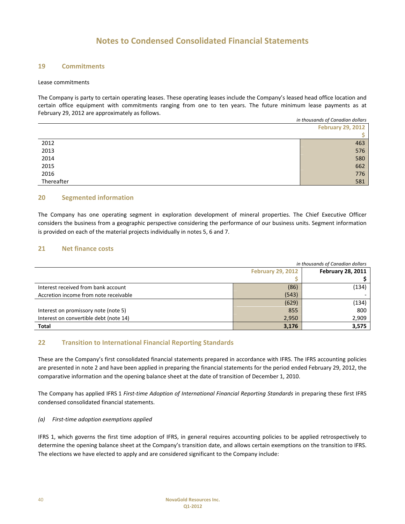## **19 Commitments**

#### Lease commitments

The Company is party to certain operating leases. These operating leases include the Company's leased head office location and certain office equipment with commitments ranging from one to ten years. The future minimum lease payments as at February 29, 2012 are approximately as follows.

| in thousands of Canadian dollars |                          |
|----------------------------------|--------------------------|
|                                  | <b>February 29, 2012</b> |
|                                  |                          |
| 2012                             | 463                      |
| 2013                             | 576                      |
| 2014                             | 580                      |
| 2015                             | 662                      |
| 2016                             | 776                      |
| Thereafter                       | 581                      |

## **20 Segmented information**

The Company has one operating segment in exploration development of mineral properties. The Chief Executive Officer considers the business from a geographic perspective considering the performance of our business units. Segment information is provided on each of the material projects individually in notes 5, 6 and 7.

## **21 Net finance costs**

| in thousands of Canadian dollars       |                          |                          |
|----------------------------------------|--------------------------|--------------------------|
|                                        | <b>February 29, 2012</b> | <b>February 28, 2011</b> |
|                                        |                          |                          |
| Interest received from bank account    | (86)                     | (134)                    |
| Accretion income from note receivable  | (543)                    |                          |
|                                        | (629)                    | (134)                    |
| Interest on promissory note (note 5)   | 855                      | 800                      |
| Interest on convertible debt (note 14) | 2,950                    | 2,909                    |
| Total                                  | 3,176                    | 3,575                    |

## **22 Transition to International Financial Reporting Standards**

These are the Company's first consolidated financial statements prepared in accordance with IFRS. The IFRS accounting policies are presented in note 2 and have been applied in preparing the financial statements for the period ended February 29, 2012, the comparative information and the opening balance sheet at the date of transition of December 1, 2010.

The Company has applied IFRS 1 *First-time Adoption of International Financial Reporting Standards* in preparing these first IFRS condensed consolidated financial statements.

### *(a) First-time adoption exemptions applied*

IFRS 1, which governs the first time adoption of IFRS, in general requires accounting policies to be applied retrospectively to determine the opening balance sheet at the Company's transition date, and allows certain exemptions on the transition to IFRS. The elections we have elected to apply and are considered significant to the Company include: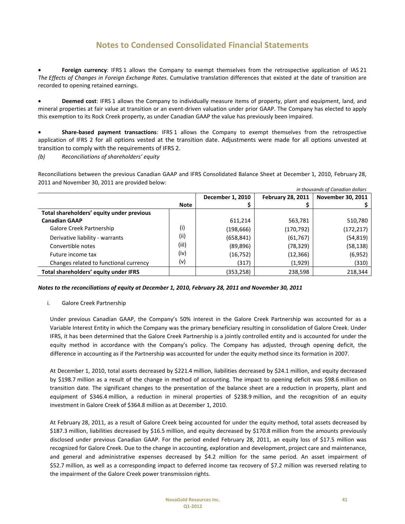**Foreign currency:** IFRS 1 allows the Company to exempt themselves from the retrospective application of IAS 21 *The Effects of Changes in Foreign Exchange Rates*. Cumulative translation differences that existed at the date of transition are recorded to opening retained earnings.

• **Deemed cost**: IFRS 1 allows the Company to individually measure items of property, plant and equipment, land, and mineral properties at fair value at transition or an event-driven valuation under prior GAAP. The Company has elected to apply this exemption to its Rock Creek property, as under Canadian GAAP the value has previously been impaired.

• **Share-based payment transactions**: IFRS 1 allows the Company to exempt themselves from the retrospective application of IFRS 2 for all options vested at the transition date. Adjustments were made for all options unvested at transition to comply with the requirements of IFRS 2.

*(b) Reconciliations of shareholders' equity* 

Reconciliations between the previous Canadian GAAP and IFRS Consolidated Balance Sheet at December 1, 2010, February 28, 2011 and November 30, 2011 are provided below: *in thousands of Canadian dollars*

| <u>m thousands of Candalan dollars</u><br>December 1, 2010<br><b>February 28, 2011</b> |       |           | <b>November 30, 2011</b> |            |
|----------------------------------------------------------------------------------------|-------|-----------|--------------------------|------------|
|                                                                                        | Note  |           |                          |            |
| Total shareholders' equity under previous                                              |       |           |                          |            |
| <b>Canadian GAAP</b>                                                                   |       | 611,214   | 563,781                  | 510,780    |
| Galore Creek Partnership                                                               | (i)   | (198,666) | (170, 792)               | (172, 217) |
| Derivative liability - warrants                                                        | (i)   | (658,841) | (61, 767)                | (54, 819)  |
| Convertible notes                                                                      | (iii) | (89, 896) | (78, 329)                | (58, 138)  |
| Future income tax                                                                      | (iv)  | (16, 752) | (12, 366)                | (6,952)    |
| Changes related to functional currency                                                 | (v)   | (317)     | (1,929)                  | (310)      |
| Total shareholders' equity under IFRS                                                  |       | (353,258) | 238,598                  | 218,344    |

*Notes to the reconciliations of equity at December 1, 2010, February 28, 2011 and November 30, 2011* 

i. Galore Creek Partnership

Under previous Canadian GAAP, the Company's 50% interest in the Galore Creek Partnership was accounted for as a Variable Interest Entity in which the Company was the primary beneficiary resulting in consolidation of Galore Creek. Under IFRS, it has been determined that the Galore Creek Partnership is a jointly controlled entity and is accounted for under the equity method in accordance with the Company's policy. The Company has adjusted, through opening deficit, the difference in accounting as if the Partnership was accounted for under the equity method since its formation in 2007.

At December 1, 2010, total assets decreased by \$221.4 million, liabilities decreased by \$24.1 million, and equity decreased by \$198.7 million as a result of the change in method of accounting. The impact to opening deficit was \$98.6 million on transition date. The significant changes to the presentation of the balance sheet are a reduction in property, plant and equipment of \$346.4 million, a reduction in mineral properties of \$238.9 million, and the recognition of an equity investment in Galore Creek of \$364.8 million as at December 1, 2010.

At February 28, 2011, as a result of Galore Creek being accounted for under the equity method, total assets decreased by \$187.3 million, liabilities decreased by \$16.5 million, and equity decreased by \$170.8 million from the amounts previously disclosed under previous Canadian GAAP. For the period ended February 28, 2011, an equity loss of \$17.5 million was recognized for Galore Creek. Due to the change in accounting, exploration and development, project care and maintenance, and general and administrative expenses decreased by \$4.2 million for the same period. An asset impairment of \$52.7 million, as well as a corresponding impact to deferred income tax recovery of \$7.2 million was reversed relating to the impairment of the Galore Creek power transmission rights.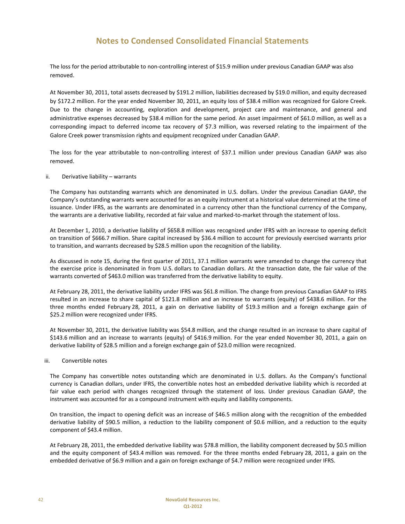The loss for the period attributable to non-controlling interest of \$15.9 million under previous Canadian GAAP was also removed.

At November 30, 2011, total assets decreased by \$191.2 million, liabilities decreased by \$19.0 million, and equity decreased by \$172.2 million. For the year ended November 30, 2011, an equity loss of \$38.4 million was recognized for Galore Creek. Due to the change in accounting, exploration and development, project care and maintenance, and general and administrative expenses decreased by \$38.4 million for the same period. An asset impairment of \$61.0 million, as well as a corresponding impact to deferred income tax recovery of \$7.3 million, was reversed relating to the impairment of the Galore Creek power transmission rights and equipment recognized under Canadian GAAP.

The loss for the year attributable to non-controlling interest of \$37.1 million under previous Canadian GAAP was also removed.

### ii. Derivative liability – warrants

The Company has outstanding warrants which are denominated in U.S. dollars. Under the previous Canadian GAAP, the Company's outstanding warrants were accounted for as an equity instrument at a historical value determined at the time of issuance. Under IFRS, as the warrants are denominated in a currency other than the functional currency of the Company, the warrants are a derivative liability, recorded at fair value and marked-to-market through the statement of loss.

At December 1, 2010, a derivative liability of \$658.8 million was recognized under IFRS with an increase to opening deficit on transition of \$666.7 million. Share capital increased by \$36.4 million to account for previously exercised warrants prior to transition, and warrants decreased by \$28.5 million upon the recognition of the liability.

As discussed in note 15, during the first quarter of 2011, 37.1 million warrants were amended to change the currency that the exercise price is denominated in from U.S. dollars to Canadian dollars. At the transaction date, the fair value of the warrants converted of \$463.0 million was transferred from the derivative liability to equity.

At February 28, 2011, the derivative liability under IFRS was \$61.8 million. The change from previous Canadian GAAP to IFRS resulted in an increase to share capital of \$121.8 million and an increase to warrants (equity) of \$438.6 million. For the three months ended February 28, 2011, a gain on derivative liability of \$19.3 million and a foreign exchange gain of \$25.2 million were recognized under IFRS.

At November 30, 2011, the derivative liability was \$54.8 million, and the change resulted in an increase to share capital of \$143.6 million and an increase to warrants (equity) of \$416.9 million. For the year ended November 30, 2011, a gain on derivative liability of \$28.5 million and a foreign exchange gain of \$23.0 million were recognized.

## iii. Convertible notes

The Company has convertible notes outstanding which are denominated in U.S. dollars. As the Company's functional currency is Canadian dollars, under IFRS, the convertible notes host an embedded derivative liability which is recorded at fair value each period with changes recognized through the statement of loss. Under previous Canadian GAAP, the instrument was accounted for as a compound instrument with equity and liability components.

On transition, the impact to opening deficit was an increase of \$46.5 million along with the recognition of the embedded derivative liability of \$90.5 million, a reduction to the liability component of \$0.6 million, and a reduction to the equity component of \$43.4 million.

At February 28, 2011, the embedded derivative liability was \$78.8 million, the liability component decreased by \$0.5 million and the equity component of \$43.4 million was removed. For the three months ended February 28, 2011, a gain on the embedded derivative of \$6.9 million and a gain on foreign exchange of \$4.7 million were recognized under IFRS.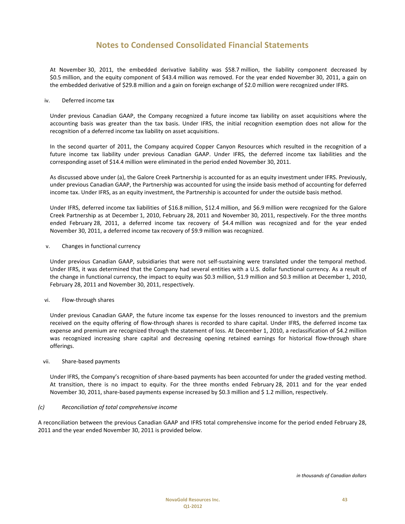At November 30, 2011, the embedded derivative liability was \$58.7 million, the liability component decreased by \$0.5 million, and the equity component of \$43.4 million was removed. For the year ended November 30, 2011, a gain on the embedded derivative of \$29.8 million and a gain on foreign exchange of \$2.0 million were recognized under IFRS.

#### iv. Deferred income tax

Under previous Canadian GAAP, the Company recognized a future income tax liability on asset acquisitions where the accounting basis was greater than the tax basis. Under IFRS, the initial recognition exemption does not allow for the recognition of a deferred income tax liability on asset acquisitions.

In the second quarter of 2011, the Company acquired Copper Canyon Resources which resulted in the recognition of a future income tax liability under previous Canadian GAAP. Under IFRS, the deferred income tax liabilities and the corresponding asset of \$14.4 million were eliminated in the period ended November 30, 2011.

As discussed above under (a), the Galore Creek Partnership is accounted for as an equity investment under IFRS. Previously, under previous Canadian GAAP, the Partnership was accounted for using the inside basis method of accounting for deferred income tax. Under IFRS, as an equity investment, the Partnership is accounted for under the outside basis method.

Under IFRS, deferred income tax liabilities of \$16.8 million, \$12.4 million, and \$6.9 million were recognized for the Galore Creek Partnership as at December 1, 2010, February 28, 2011 and November 30, 2011, respectively. For the three months ended February 28, 2011, a deferred income tax recovery of \$4.4 million was recognized and for the year ended November 30, 2011, a deferred income tax recovery of \$9.9 million was recognized.

#### v. Changes in functional currency

Under previous Canadian GAAP, subsidiaries that were not self-sustaining were translated under the temporal method. Under IFRS, it was determined that the Company had several entities with a U.S. dollar functional currency. As a result of the change in functional currency, the impact to equity was \$0.3 million, \$1.9 million and \$0.3 million at December 1, 2010, February 28, 2011 and November 30, 2011, respectively.

### vi. Flow-through shares

Under previous Canadian GAAP, the future income tax expense for the losses renounced to investors and the premium received on the equity offering of flow-through shares is recorded to share capital. Under IFRS, the deferred income tax expense and premium are recognized through the statement of loss. At December 1, 2010, a reclassification of \$4.2 million was recognized increasing share capital and decreasing opening retained earnings for historical flow-through share offerings.

### vii. Share-based payments

Under IFRS, the Company's recognition of share-based payments has been accounted for under the graded vesting method. At transition, there is no impact to equity. For the three months ended February 28, 2011 and for the year ended November 30, 2011, share-based payments expense increased by \$0.3 million and \$ 1.2 million, respectively.

### *(c) Reconciliation of total comprehensive income*

A reconciliation between the previous Canadian GAAP and IFRS total comprehensive income for the period ended February 28, 2011 and the year ended November 30, 2011 is provided below.